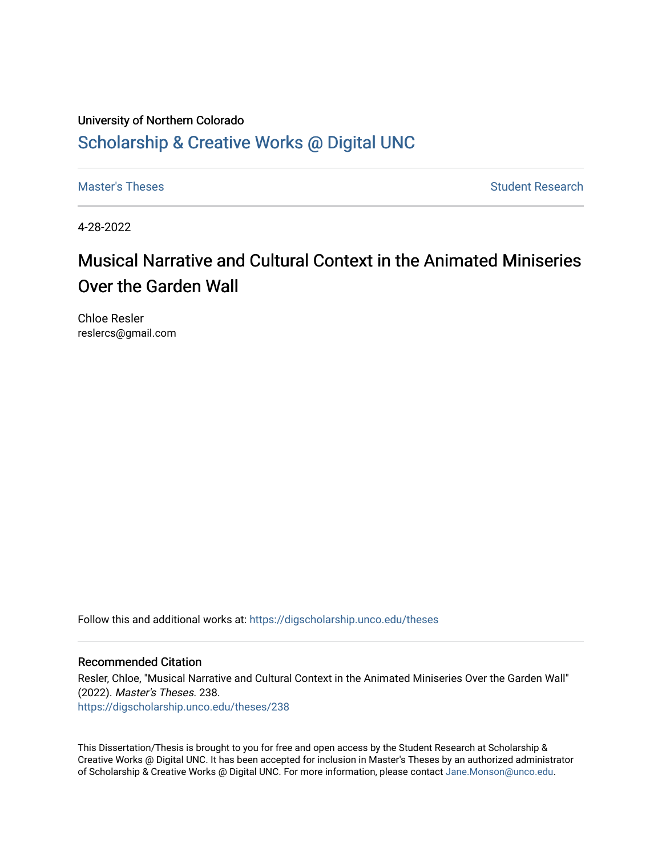# University of Northern Colorado [Scholarship & Creative Works @ Digital UNC](https://digscholarship.unco.edu/)

[Master's Theses](https://digscholarship.unco.edu/theses) **Student Research Master's Theses** Student Research

4-28-2022

# Musical Narrative and Cultural Context in the Animated Miniseries Over the Garden Wall

Chloe Resler reslercs@gmail.com

Follow this and additional works at: [https://digscholarship.unco.edu/theses](https://digscholarship.unco.edu/theses?utm_source=digscholarship.unco.edu%2Ftheses%2F238&utm_medium=PDF&utm_campaign=PDFCoverPages) 

## Recommended Citation

Resler, Chloe, "Musical Narrative and Cultural Context in the Animated Miniseries Over the Garden Wall" (2022). Master's Theses. 238. [https://digscholarship.unco.edu/theses/238](https://digscholarship.unco.edu/theses/238?utm_source=digscholarship.unco.edu%2Ftheses%2F238&utm_medium=PDF&utm_campaign=PDFCoverPages) 

This Dissertation/Thesis is brought to you for free and open access by the Student Research at Scholarship & Creative Works @ Digital UNC. It has been accepted for inclusion in Master's Theses by an authorized administrator of Scholarship & Creative Works @ Digital UNC. For more information, please contact [Jane.Monson@unco.edu](mailto:Jane.Monson@unco.edu).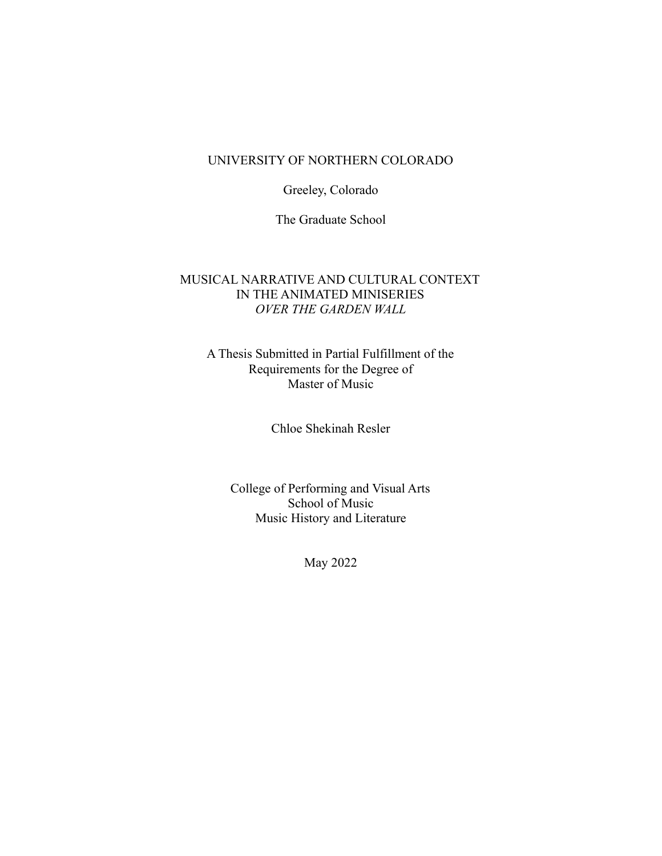## UNIVERSITY OF NORTHERN COLORADO

Greeley, Colorado

The Graduate School

## MUSICAL NARRATIVE AND CULTURAL CONTEXT IN THE ANIMATED MINISERIES *OVER THE GARDEN WALL*

A Thesis Submitted in Partial Fulfillment of the Requirements for the Degree of Master of Music

Chloe Shekinah Resler

College of Performing and Visual Arts School of Music Music History and Literature

May 2022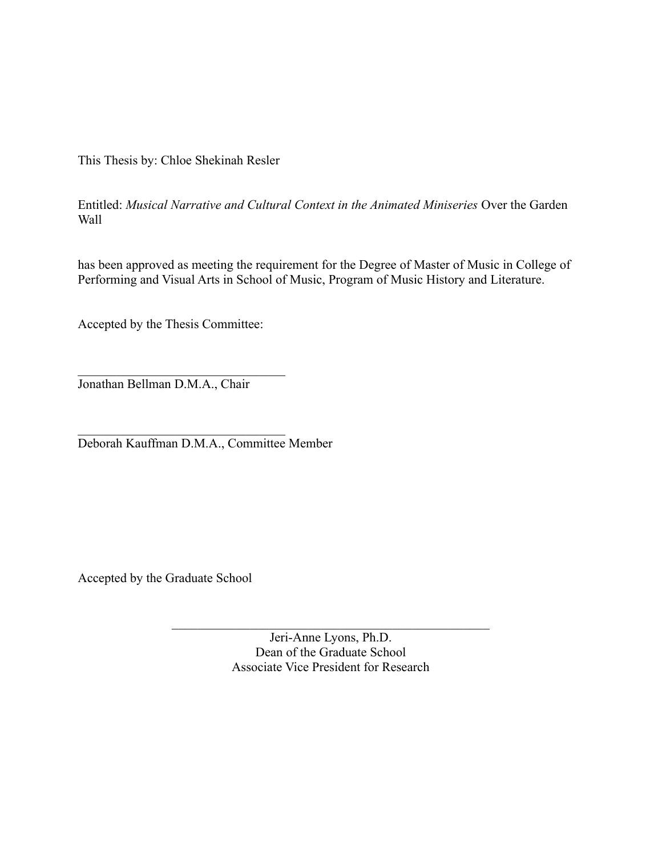This Thesis by: Chloe Shekinah Resler

Entitled: *Musical Narrative and Cultural Context in the Animated Miniseries* Over the Garden Wall

has been approved as meeting the requirement for the Degree of Master of Music in College of Performing and Visual Arts in School of Music, Program of Music History and Literature.

Accepted by the Thesis Committee:

 $\mathcal{L}_\text{max}$  , where  $\mathcal{L}_\text{max}$  and  $\mathcal{L}_\text{max}$  and  $\mathcal{L}_\text{max}$ 

 $\mathcal{L}_\text{max}$  , where  $\mathcal{L}_\text{max}$  and  $\mathcal{L}_\text{max}$  and  $\mathcal{L}_\text{max}$ 

Jonathan Bellman D.M.A., Chair

Deborah Kauffman D.M.A., Committee Member

Accepted by the Graduate School

Jeri-Anne Lyons, Ph.D. Dean of the Graduate School Associate Vice President for Research

 $\mathcal{L}_\text{max}$  and the contract of the contract of the contract of the contract of the contract of the contract of the contract of the contract of the contract of the contract of the contract of the contract of the contrac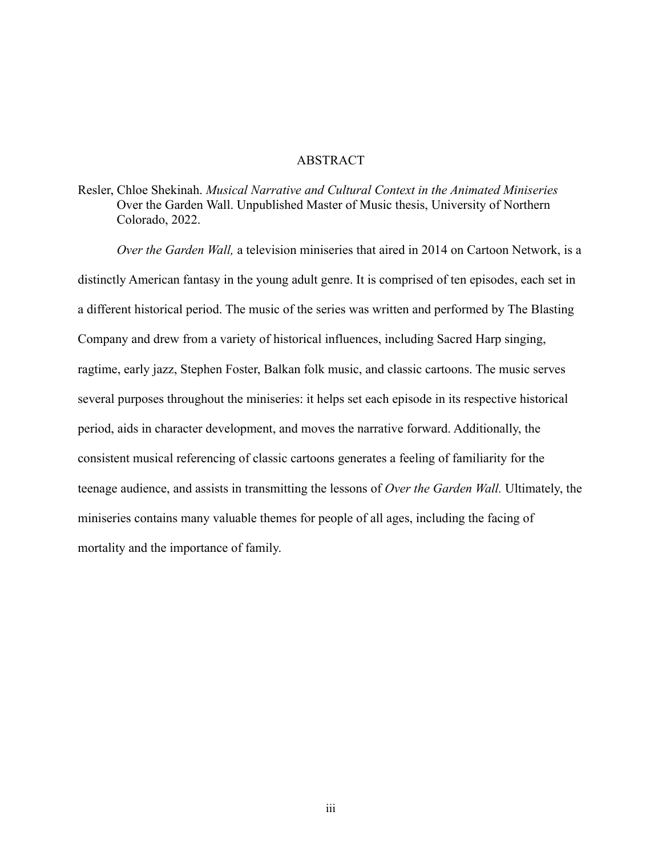## ABSTRACT

Resler, Chloe Shekinah. *Musical Narrative and Cultural Context in the Animated Miniseries* Over the Garden Wall. Unpublished Master of Music thesis, University of Northern Colorado, 2022.

*Over the Garden Wall,* a television miniseries that aired in 2014 on Cartoon Network, is a distinctly American fantasy in the young adult genre. It is comprised of ten episodes, each set in a different historical period. The music of the series was written and performed by The Blasting Company and drew from a variety of historical influences, including Sacred Harp singing, ragtime, early jazz, Stephen Foster, Balkan folk music, and classic cartoons. The music serves several purposes throughout the miniseries: it helps set each episode in its respective historical period, aids in character development, and moves the narrative forward. Additionally, the consistent musical referencing of classic cartoons generates a feeling of familiarity for the teenage audience, and assists in transmitting the lessons of *Over the Garden Wall.* Ultimately, the miniseries contains many valuable themes for people of all ages, including the facing of mortality and the importance of family.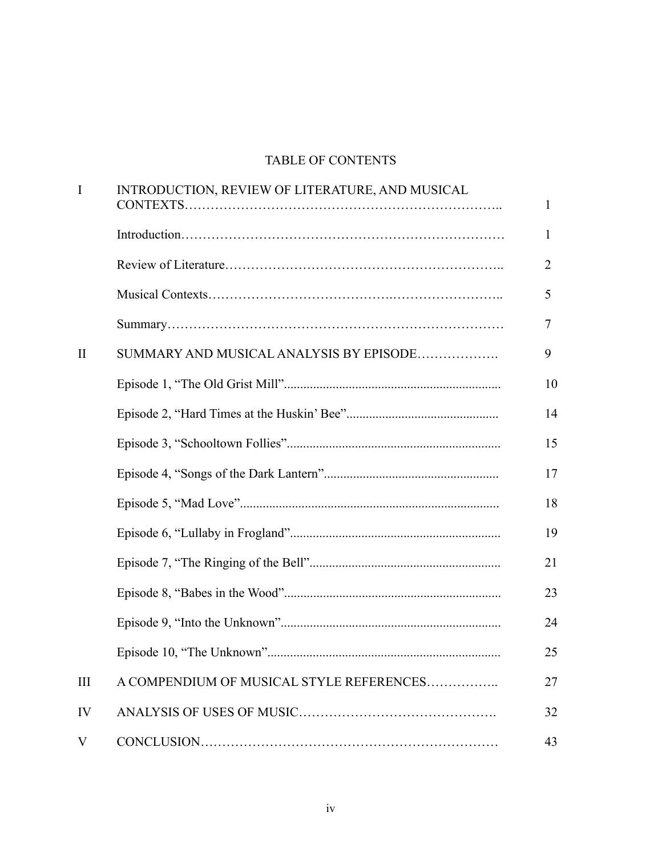## TABLE OF CONTENTS

| $\mathbf I$  | INTRODUCTION, REVIEW OF LITERATURE, AND MUSICAL | 1              |
|--------------|-------------------------------------------------|----------------|
|              |                                                 | $\mathbf{1}$   |
|              |                                                 | $\overline{2}$ |
|              |                                                 | 5              |
|              |                                                 | $\overline{7}$ |
| $\mathbf{I}$ | SUMMARY AND MUSICAL ANALYSIS BY EPISODE         | 9              |
|              |                                                 | 10             |
|              |                                                 | 14             |
|              |                                                 | 15             |
|              |                                                 | 17             |
|              |                                                 | 18             |
|              |                                                 | 19             |
|              |                                                 | 21             |
|              |                                                 | 23             |
|              |                                                 | 24             |
|              |                                                 | 25             |
| III          | A COMPENDIUM OF MUSICAL STYLE REFERENCES        | 27             |
| IV           |                                                 | 32             |
| $\mathbf{V}$ |                                                 | 43             |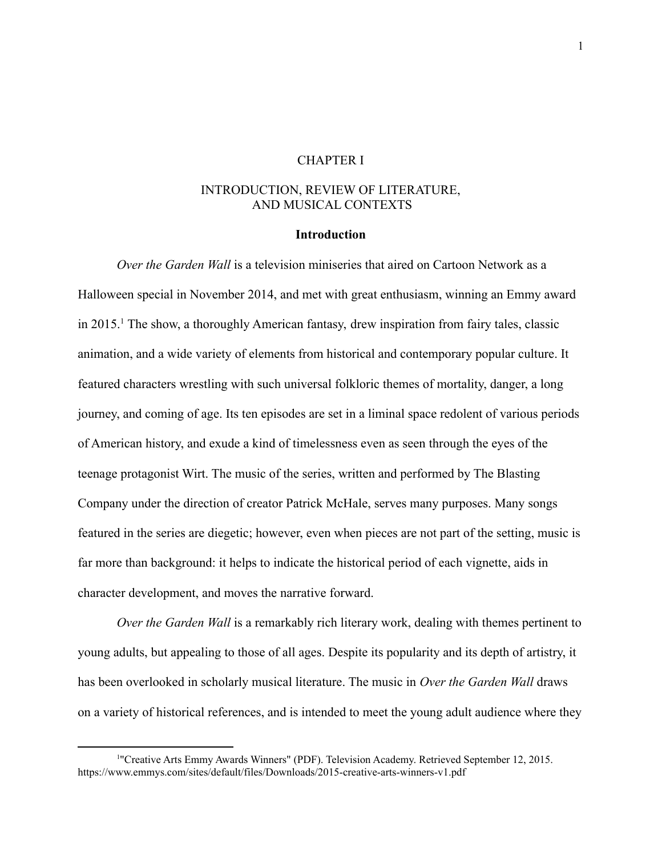## CHAPTER I

## INTRODUCTION, REVIEW OF LITERATURE, AND MUSICAL CONTEXTS

#### **Introduction**

*Over the Garden Wall* is a television miniseries that aired on Cartoon Network as a Halloween special in November 2014, and met with great enthusiasm, winning an Emmy award in 2015.<sup>1</sup> The show, a thoroughly American fantasy, drew inspiration from fairy tales, classic animation, and a wide variety of elements from historical and contemporary popular culture. It featured characters wrestling with such universal folkloric themes of mortality, danger, a long journey, and coming of age. Its ten episodes are set in a liminal space redolent of various periods of American history, and exude a kind of timelessness even as seen through the eyes of the teenage protagonist Wirt. The music of the series, written and performed by The Blasting Company under the direction of creator Patrick McHale, serves many purposes. Many songs featured in the series are diegetic; however, even when pieces are not part of the setting, music is far more than background: it helps to indicate the historical period of each vignette, aids in character development, and moves the narrative forward.

*Over the Garden Wall* is a remarkably rich literary work, dealing with themes pertinent to young adults, but appealing to those of all ages. Despite its popularity and its depth of artistry, it has been overlooked in scholarly musical literature. The music in *Over the Garden Wall* draws on a variety of historical references, and is intended to meet the young adult audience where they

<sup>1</sup>"Creative Arts Emmy Awards Winners" (PDF). Television Academy. Retrieved September 12, 2015. https://www.emmys.com/sites/default/files/Downloads/2015-creative-arts-winners-v1.pdf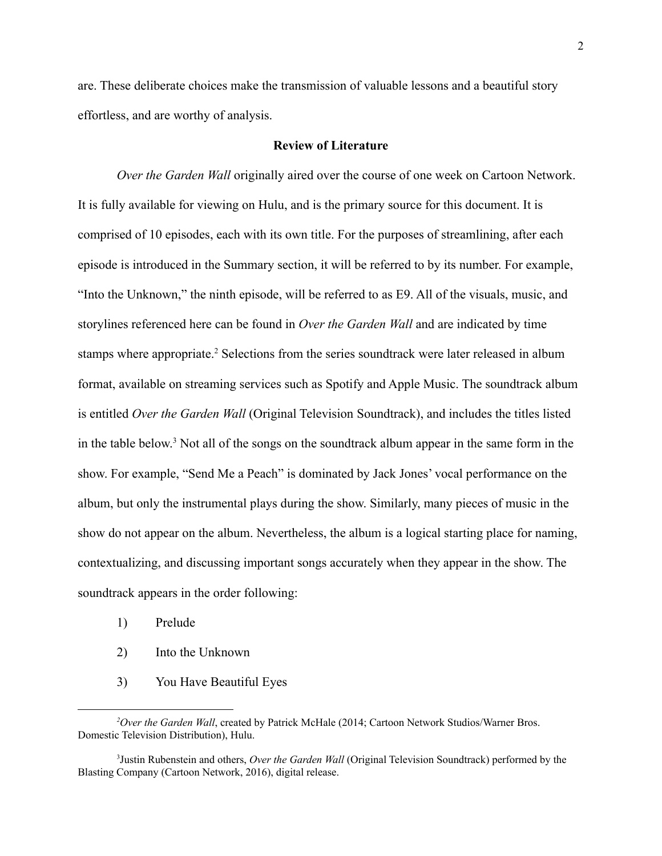are. These deliberate choices make the transmission of valuable lessons and a beautiful story effortless, and are worthy of analysis.

## **Review of Literature**

*Over the Garden Wall* originally aired over the course of one week on Cartoon Network. It is fully available for viewing on Hulu, and is the primary source for this document. It is comprised of 10 episodes, each with its own title. For the purposes of streamlining, after each episode is introduced in the Summary section, it will be referred to by its number. For example, "Into the Unknown," the ninth episode, will be referred to as E9. All of the visuals, music, and storylines referenced here can be found in *Over the Garden Wall* and are indicated by time stamps where appropriate.<sup>2</sup> Selections from the series soundtrack were later released in album format, available on streaming services such as Spotify and Apple Music. The soundtrack album is entitled *Over the Garden Wall* (Original Television Soundtrack), and includes the titles listed in the table below. <sup>3</sup> Not all of the songs on the soundtrack album appear in the same form in the show. For example, "Send Me a Peach" is dominated by Jack Jones' vocal performance on the album, but only the instrumental plays during the show. Similarly, many pieces of music in the show do not appear on the album. Nevertheless, the album is a logical starting place for naming, contextualizing, and discussing important songs accurately when they appear in the show. The soundtrack appears in the order following:

- 1) Prelude
- 2) Into the Unknown
- 3) You Have Beautiful Eyes

*<sup>2</sup>Over the Garden Wall*, created by Patrick McHale (2014; Cartoon Network Studios/Warner Bros. Domestic Television Distribution), Hulu.

<sup>3</sup>Justin Rubenstein and others, *Over the Garden Wall* (Original Television Soundtrack) performed by the Blasting Company (Cartoon Network, 2016), digital release.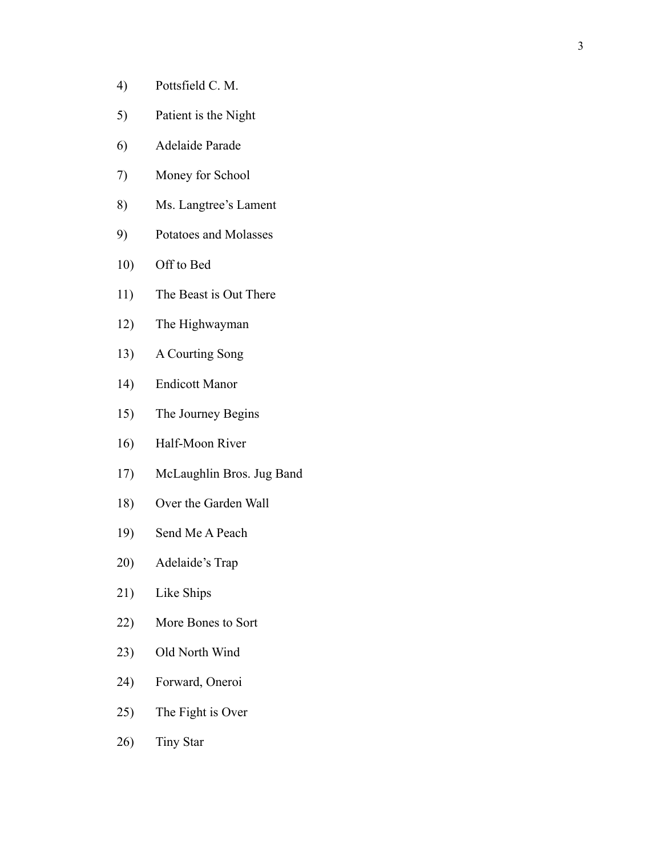- 4) Pottsfield C. M.
- 5) Patient is the Night
- 6) Adelaide Parade
- 7) Money for School
- 8) Ms. Langtree's Lament
- 9) Potatoes and Molasses
- 10) Off to Bed
- 11) The Beast is Out There
- 12) The Highwayman
- 13) A Courting Song
- 14) Endicott Manor
- 15) The Journey Begins
- 16) Half-Moon River
- 17) McLaughlin Bros. Jug Band
- 18) Over the Garden Wall
- 19) Send Me A Peach
- 20) Adelaide's Trap
- 21) Like Ships
- 22) More Bones to Sort
- 23) Old North Wind
- 24) Forward, Oneroi
- 25) The Fight is Over
- 26) Tiny Star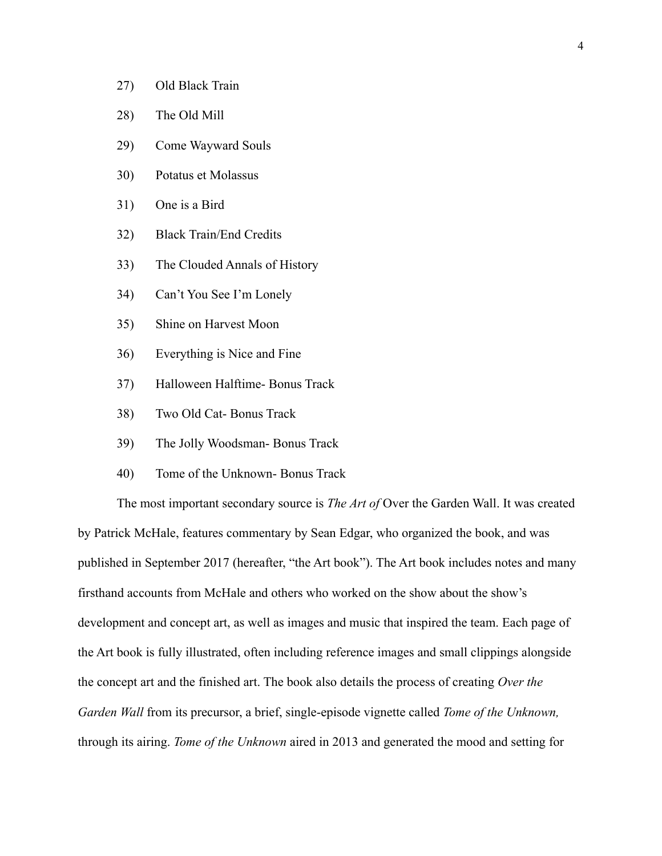- 27) Old Black Train
- 28) The Old Mill
- 29) Come Wayward Souls
- 30) Potatus et Molassus
- 31) One is a Bird
- 32) Black Train/End Credits
- 33) The Clouded Annals of History
- 34) Can't You See I'm Lonely
- 35) Shine on Harvest Moon
- 36) Everything is Nice and Fine
- 37) Halloween Halftime- Bonus Track
- 38) Two Old Cat- Bonus Track
- 39) The Jolly Woodsman- Bonus Track
- 40) Tome of the Unknown- Bonus Track

The most important secondary source is *The Art of* Over the Garden Wall. It was created by Patrick McHale, features commentary by Sean Edgar, who organized the book, and was published in September 2017 (hereafter, "the Art book"). The Art book includes notes and many firsthand accounts from McHale and others who worked on the show about the show's development and concept art, as well as images and music that inspired the team. Each page of the Art book is fully illustrated, often including reference images and small clippings alongside the concept art and the finished art. The book also details the process of creating *Over the Garden Wall* from its precursor, a brief, single-episode vignette called *Tome of the Unknown,* through its airing. *Tome of the Unknown* aired in 2013 and generated the mood and setting for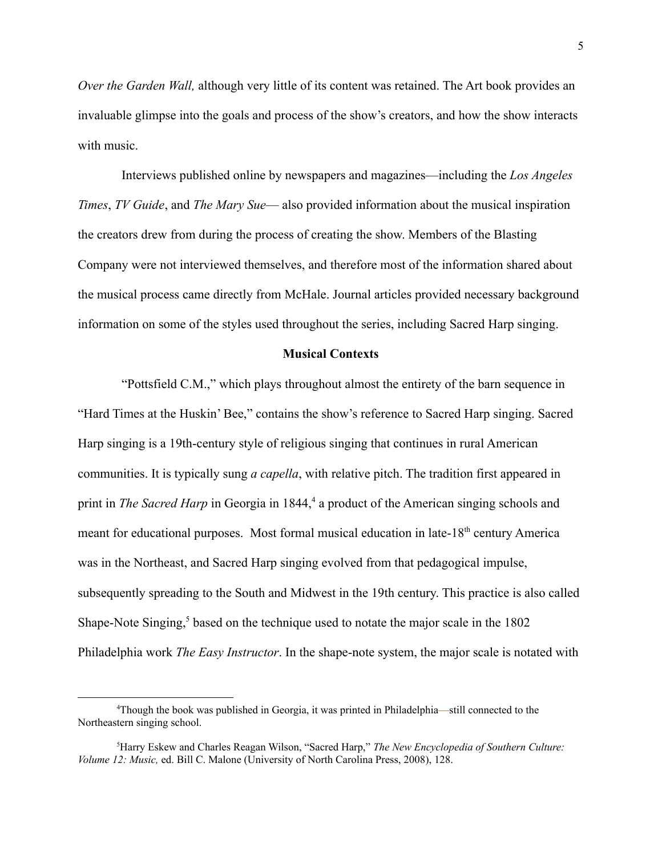*Over the Garden Wall,* although very little of its content was retained. The Art book provides an invaluable glimpse into the goals and process of the show's creators, and how the show interacts with music.

Interviews published online by newspapers and magazines—including the *Los Angeles Times*, *TV Guide*, and *The Mary Sue*— also provided information about the musical inspiration the creators drew from during the process of creating the show. Members of the Blasting Company were not interviewed themselves, and therefore most of the information shared about the musical process came directly from McHale. Journal articles provided necessary background information on some of the styles used throughout the series, including Sacred Harp singing.

#### **Musical Contexts**

"Pottsfield C.M.," which plays throughout almost the entirety of the barn sequence in "Hard Times at the Huskin' Bee," contains the show's reference to Sacred Harp singing. Sacred Harp singing is a 19th-century style of religious singing that continues in rural American communities. It is typically sung *a capella*, with relative pitch. The tradition first appeared in print in *The Sacred Harp* in Georgia in 1844,<sup>4</sup> a product of the American singing schools and meant for educational purposes. Most formal musical education in late-18<sup>th</sup> century America was in the Northeast, and Sacred Harp singing evolved from that pedagogical impulse, subsequently spreading to the South and Midwest in the 19th century. This practice is also called Shape-Note Singing, $5$  based on the technique used to notate the major scale in the 1802 Philadelphia work *The Easy Instructor*. In the shape-note system, the major scale is notated with

<sup>4</sup>Though the book was published in Georgia, it was printed in Philadelphia—still connected to the Northeastern singing school.

<sup>5</sup>Harry Eskew and Charles Reagan Wilson, "Sacred Harp," *The New Encyclopedia of Southern Culture: Volume 12: Music,* ed. Bill C. Malone (University of North Carolina Press, 2008), 128.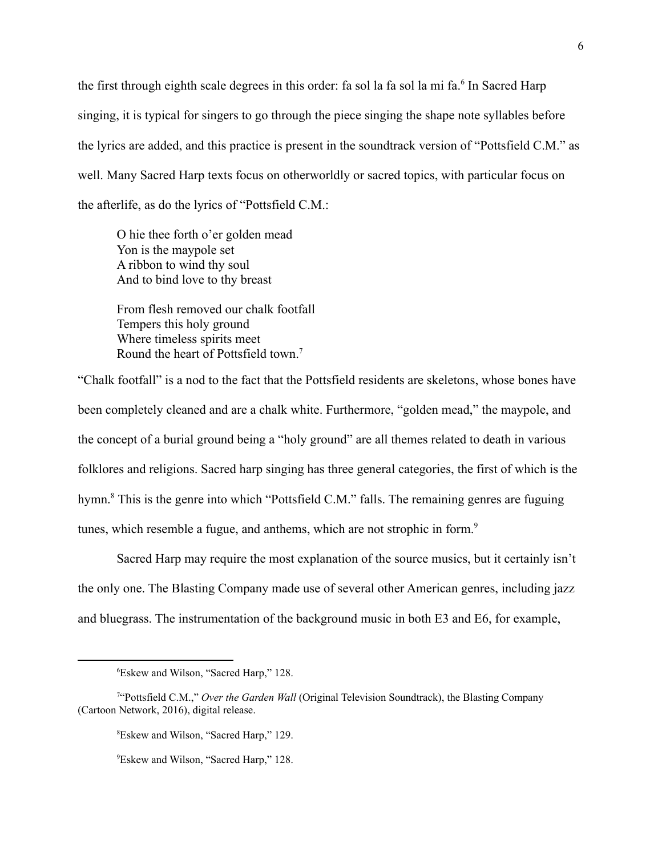the first through eighth scale degrees in this order: fa sol la fa sol la mi fa.<sup>6</sup> In Sacred Harp singing, it is typical for singers to go through the piece singing the shape note syllables before the lyrics are added, and this practice is present in the soundtrack version of "Pottsfield C.M." as well. Many Sacred Harp texts focus on otherworldly or sacred topics, with particular focus on the afterlife, as do the lyrics of "Pottsfield C.M.:

O hie thee forth o'er golden mead Yon is the maypole set A ribbon to wind thy soul And to bind love to thy breast

From flesh removed our chalk footfall Tempers this holy ground Where timeless spirits meet Round the heart of Pottsfield town.<sup>7</sup>

"Chalk footfall" is a nod to the fact that the Pottsfield residents are skeletons, whose bones have been completely cleaned and are a chalk white. Furthermore, "golden mead," the maypole, and the concept of a burial ground being a "holy ground" are all themes related to death in various folklores and religions. Sacred harp singing has three general categories, the first of which is the hymn.<sup>8</sup> This is the genre into which "Pottsfield C.M." falls. The remaining genres are fuguing tunes, which resemble a fugue, and anthems, which are not strophic in form.<sup>9</sup>

Sacred Harp may require the most explanation of the source musics, but it certainly isn't the only one. The Blasting Company made use of several other American genres, including jazz and bluegrass. The instrumentation of the background music in both E3 and E6, for example,

<sup>6</sup>Eskew and Wilson, "Sacred Harp," 128.

<sup>7</sup>"Pottsfield C.M.," *Over the Garden Wall* (Original Television Soundtrack), the Blasting Company (Cartoon Network, 2016), digital release.

<sup>8</sup>Eskew and Wilson, "Sacred Harp," 129.

<sup>9</sup>Eskew and Wilson, "Sacred Harp," 128.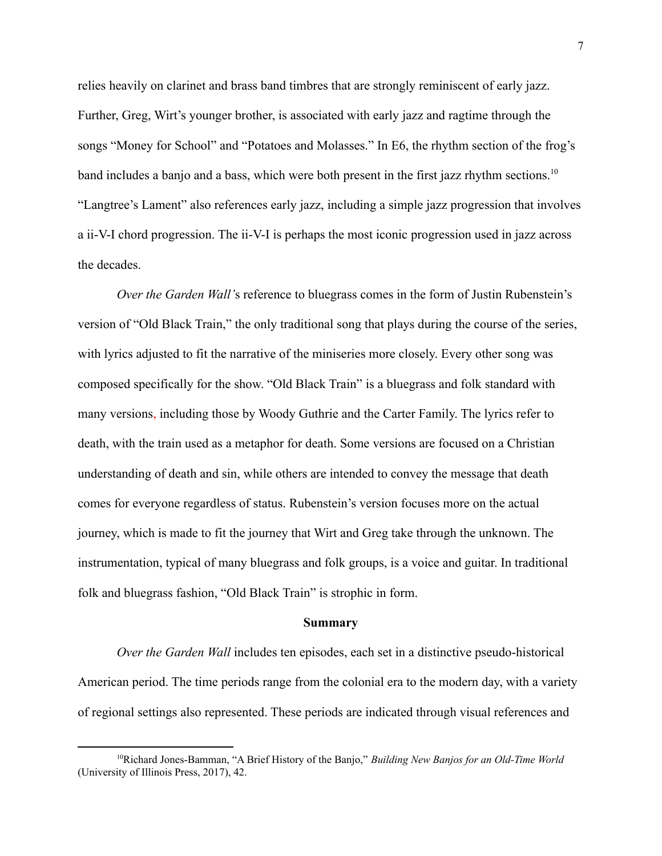relies heavily on clarinet and brass band timbres that are strongly reminiscent of early jazz. Further, Greg, Wirt's younger brother, is associated with early jazz and ragtime through the songs "Money for School" and "Potatoes and Molasses." In E6, the rhythm section of the frog's band includes a banjo and a bass, which were both present in the first jazz rhythm sections.<sup>10</sup> "Langtree's Lament" also references early jazz, including a simple jazz progression that involves a ii-V-I chord progression. The ii-V-I is perhaps the most iconic progression used in jazz across the decades.

*Over the Garden Wall's* reference to bluegrass comes in the form of Justin Rubenstein's version of "Old Black Train," the only traditional song that plays during the course of the series, with lyrics adjusted to fit the narrative of the miniseries more closely. Every other song was composed specifically for the show. "Old Black Train" is a bluegrass and folk standard with many versions, including those by Woody Guthrie and the Carter Family. The lyrics refer to death, with the train used as a metaphor for death. Some versions are focused on a Christian understanding of death and sin, while others are intended to convey the message that death comes for everyone regardless of status. Rubenstein's version focuses more on the actual journey, which is made to fit the journey that Wirt and Greg take through the unknown. The instrumentation, typical of many bluegrass and folk groups, is a voice and guitar. In traditional folk and bluegrass fashion, "Old Black Train" is strophic in form.

#### **Summary**

*Over the Garden Wall* includes ten episodes, each set in a distinctive pseudo-historical American period. The time periods range from the colonial era to the modern day, with a variety of regional settings also represented. These periods are indicated through visual references and

<sup>10</sup>Richard Jones-Bamman, "A Brief History of the Banjo," *Building New Banjos for an Old-Time World* (University of Illinois Press, 2017), 42.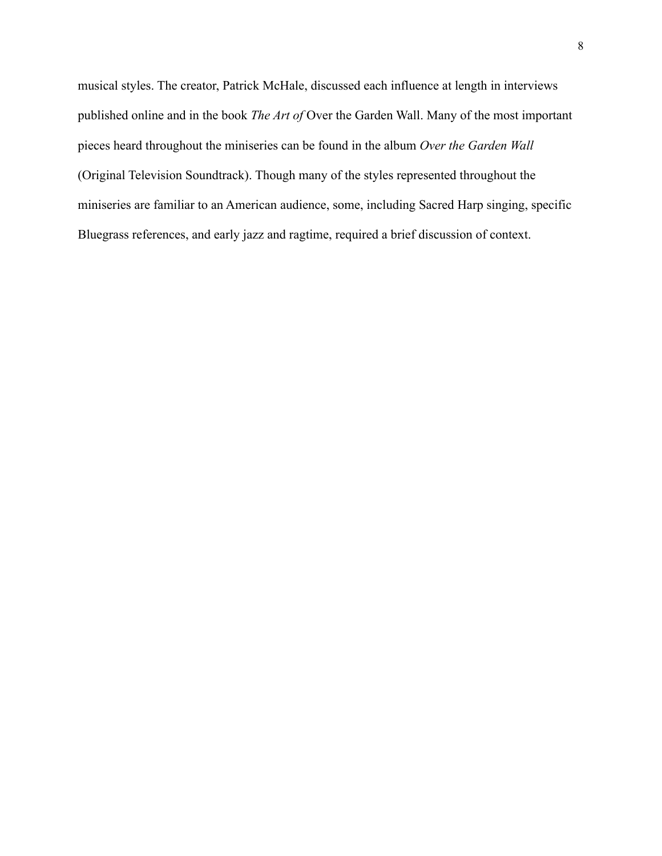musical styles. The creator, Patrick McHale, discussed each influence at length in interviews published online and in the book *The Art of* Over the Garden Wall. Many of the most important pieces heard throughout the miniseries can be found in the album *Over the Garden Wall* (Original Television Soundtrack). Though many of the styles represented throughout the miniseries are familiar to an American audience, some, including Sacred Harp singing, specific Bluegrass references, and early jazz and ragtime, required a brief discussion of context.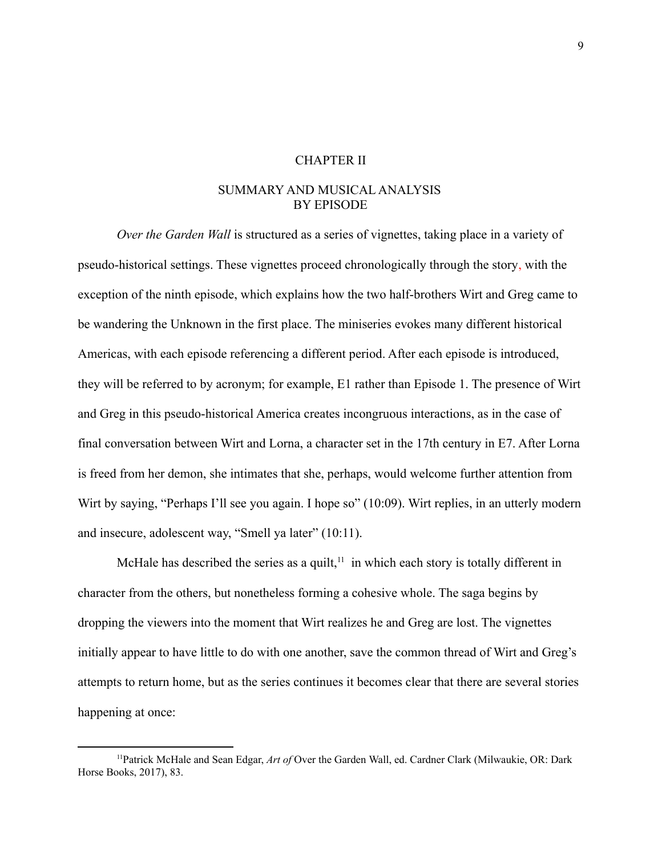## CHAPTER II

## SUMMARY AND MUSICAL ANALYSIS BY EPISODE

*Over the Garden Wall* is structured as a series of vignettes, taking place in a variety of pseudo-historical settings. These vignettes proceed chronologically through the story, with the exception of the ninth episode, which explains how the two half-brothers Wirt and Greg came to be wandering the Unknown in the first place. The miniseries evokes many different historical Americas, with each episode referencing a different period. After each episode is introduced, they will be referred to by acronym; for example, E1 rather than Episode 1. The presence of Wirt and Greg in this pseudo-historical America creates incongruous interactions, as in the case of final conversation between Wirt and Lorna, a character set in the 17th century in E7. After Lorna is freed from her demon, she intimates that she, perhaps, would welcome further attention from Wirt by saying, "Perhaps I'll see you again. I hope so" (10:09). Wirt replies, in an utterly modern and insecure, adolescent way, "Smell ya later" (10:11).

McHale has described the series as a quilt,  $11$  in which each story is totally different in character from the others, but nonetheless forming a cohesive whole. The saga begins by dropping the viewers into the moment that Wirt realizes he and Greg are lost. The vignettes initially appear to have little to do with one another, save the common thread of Wirt and Greg's attempts to return home, but as the series continues it becomes clear that there are several stories happening at once:

<sup>11</sup>Patrick McHale and Sean Edgar, *Art of* Over the Garden Wall, ed. Cardner Clark (Milwaukie, OR: Dark Horse Books, 2017), 83.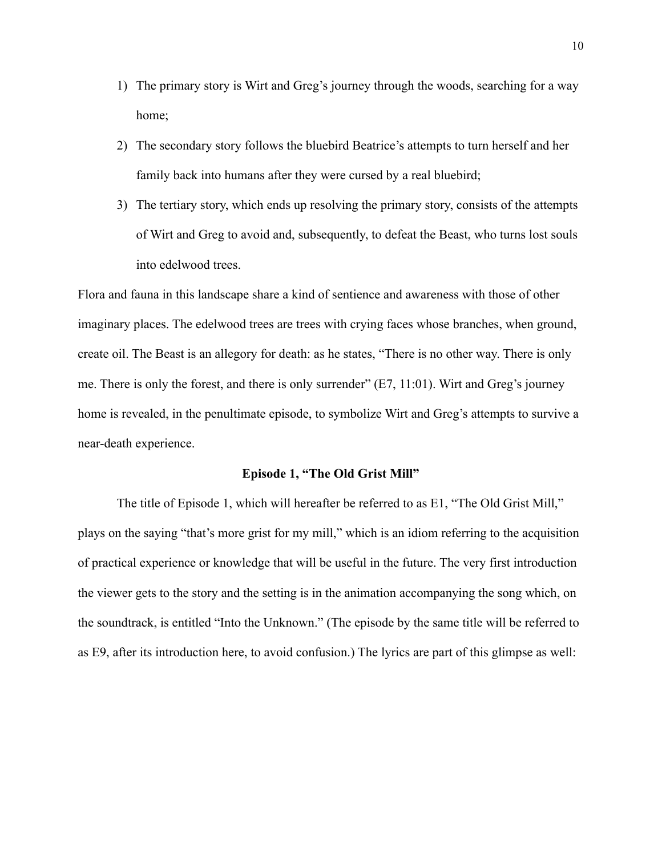- 1) The primary story is Wirt and Greg's journey through the woods, searching for a way home;
- 2) The secondary story follows the bluebird Beatrice's attempts to turn herself and her family back into humans after they were cursed by a real bluebird;
- 3) The tertiary story, which ends up resolving the primary story, consists of the attempts of Wirt and Greg to avoid and, subsequently, to defeat the Beast, who turns lost souls into edelwood trees.

Flora and fauna in this landscape share a kind of sentience and awareness with those of other imaginary places. The edelwood trees are trees with crying faces whose branches, when ground, create oil. The Beast is an allegory for death: as he states, "There is no other way. There is only me. There is only the forest, and there is only surrender" (E7, 11:01). Wirt and Greg's journey home is revealed, in the penultimate episode, to symbolize Wirt and Greg's attempts to survive a near-death experience.

#### **Episode 1, "The Old Grist Mill"**

The title of Episode 1, which will hereafter be referred to as E1, "The Old Grist Mill," plays on the saying "that's more grist for my mill," which is an idiom referring to the acquisition of practical experience or knowledge that will be useful in the future. The very first introduction the viewer gets to the story and the setting is in the animation accompanying the song which, on the soundtrack, is entitled "Into the Unknown." (The episode by the same title will be referred to as E9, after its introduction here, to avoid confusion.) The lyrics are part of this glimpse as well: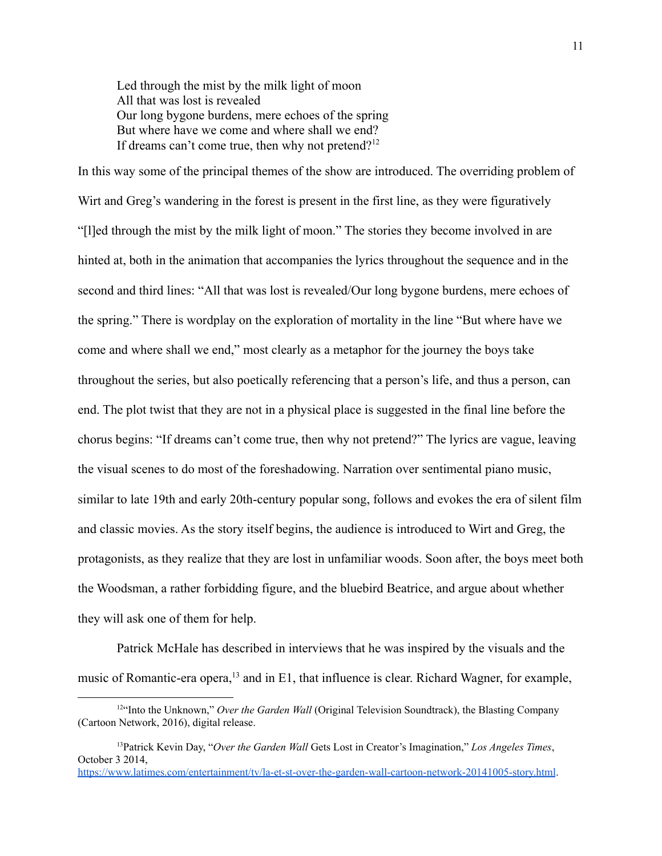Led through the mist by the milk light of moon All that was lost is revealed Our long bygone burdens, mere echoes of the spring But where have we come and where shall we end? If dreams can't come true, then why not pretend?<sup>12</sup>

In this way some of the principal themes of the show are introduced. The overriding problem of Wirt and Greg's wandering in the forest is present in the first line, as they were figuratively "[l]ed through the mist by the milk light of moon." The stories they become involved in are hinted at, both in the animation that accompanies the lyrics throughout the sequence and in the second and third lines: "All that was lost is revealed/Our long bygone burdens, mere echoes of the spring." There is wordplay on the exploration of mortality in the line "But where have we come and where shall we end," most clearly as a metaphor for the journey the boys take throughout the series, but also poetically referencing that a person's life, and thus a person, can end. The plot twist that they are not in a physical place is suggested in the final line before the chorus begins: "If dreams can't come true, then why not pretend?" The lyrics are vague, leaving the visual scenes to do most of the foreshadowing. Narration over sentimental piano music, similar to late 19th and early 20th-century popular song, follows and evokes the era of silent film and classic movies. As the story itself begins, the audience is introduced to Wirt and Greg, the protagonists, as they realize that they are lost in unfamiliar woods. Soon after, the boys meet both the Woodsman, a rather forbidding figure, and the bluebird Beatrice, and argue about whether they will ask one of them for help.

Patrick McHale has described in interviews that he was inspired by the visuals and the music of Romantic-era opera, $13$  and in E1, that influence is clear. Richard Wagner, for example,

<sup>12</sup>"Into the Unknown," *Over the Garden Wall* (Original Television Soundtrack), the Blasting Company (Cartoon Network, 2016), digital release.

<sup>13</sup>Patrick Kevin Day, "*Over the Garden Wall* Gets Lost in Creator's Imagination," *Los Angeles Times*, October 3 2014,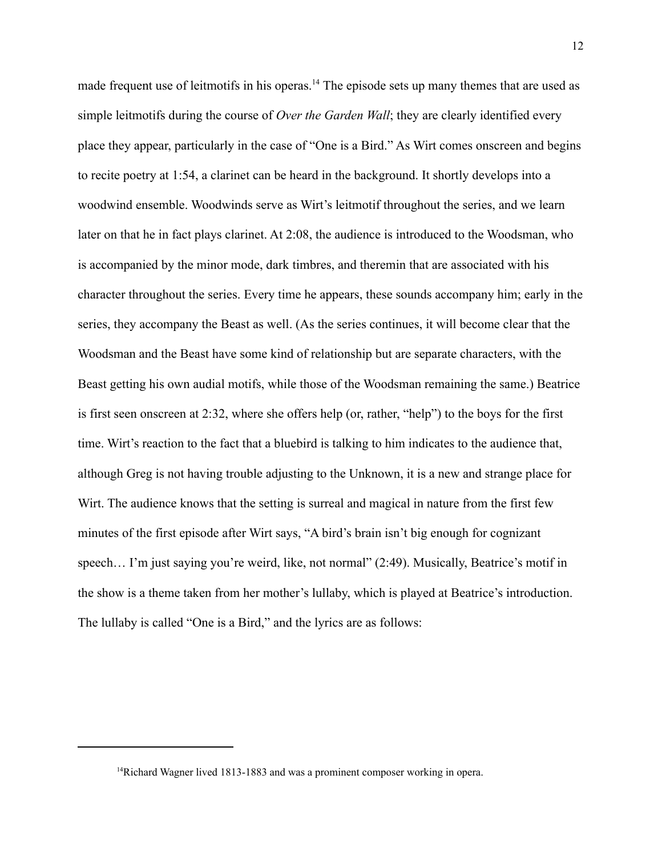made frequent use of leitmotifs in his operas.<sup>14</sup> The episode sets up many themes that are used as simple leitmotifs during the course of *Over the Garden Wall*; they are clearly identified every place they appear, particularly in the case of "One is a Bird." As Wirt comes onscreen and begins to recite poetry at 1:54, a clarinet can be heard in the background. It shortly develops into a woodwind ensemble. Woodwinds serve as Wirt's leitmotif throughout the series, and we learn later on that he in fact plays clarinet. At 2:08, the audience is introduced to the Woodsman, who is accompanied by the minor mode, dark timbres, and theremin that are associated with his character throughout the series. Every time he appears, these sounds accompany him; early in the series, they accompany the Beast as well. (As the series continues, it will become clear that the Woodsman and the Beast have some kind of relationship but are separate characters, with the Beast getting his own audial motifs, while those of the Woodsman remaining the same.) Beatrice is first seen onscreen at 2:32, where she offers help (or, rather, "help") to the boys for the first time. Wirt's reaction to the fact that a bluebird is talking to him indicates to the audience that, although Greg is not having trouble adjusting to the Unknown, it is a new and strange place for Wirt. The audience knows that the setting is surreal and magical in nature from the first few minutes of the first episode after Wirt says, "A bird's brain isn't big enough for cognizant speech… I'm just saying you're weird, like, not normal" (2:49). Musically, Beatrice's motif in the show is a theme taken from her mother's lullaby, which is played at Beatrice's introduction. The lullaby is called "One is a Bird," and the lyrics are as follows:

<sup>&</sup>lt;sup>14</sup>Richard Wagner lived 1813-1883 and was a prominent composer working in opera.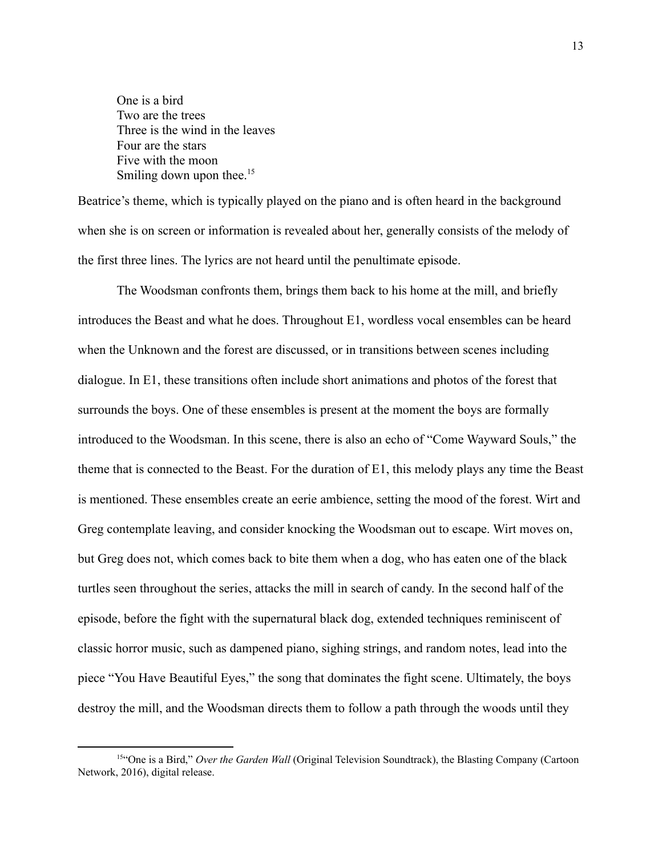One is a bird Two are the trees Three is the wind in the leaves Four are the stars Five with the moon Smiling down upon thee.<sup>15</sup>

Beatrice's theme, which is typically played on the piano and is often heard in the background when she is on screen or information is revealed about her, generally consists of the melody of the first three lines. The lyrics are not heard until the penultimate episode.

The Woodsman confronts them, brings them back to his home at the mill, and briefly introduces the Beast and what he does. Throughout E1, wordless vocal ensembles can be heard when the Unknown and the forest are discussed, or in transitions between scenes including dialogue. In E1, these transitions often include short animations and photos of the forest that surrounds the boys. One of these ensembles is present at the moment the boys are formally introduced to the Woodsman. In this scene, there is also an echo of "Come Wayward Souls," the theme that is connected to the Beast. For the duration of E1, this melody plays any time the Beast is mentioned. These ensembles create an eerie ambience, setting the mood of the forest. Wirt and Greg contemplate leaving, and consider knocking the Woodsman out to escape. Wirt moves on, but Greg does not, which comes back to bite them when a dog, who has eaten one of the black turtles seen throughout the series, attacks the mill in search of candy. In the second half of the episode, before the fight with the supernatural black dog, extended techniques reminiscent of classic horror music, such as dampened piano, sighing strings, and random notes, lead into the piece "You Have Beautiful Eyes," the song that dominates the fight scene. Ultimately, the boys destroy the mill, and the Woodsman directs them to follow a path through the woods until they

<sup>15</sup>"One is a Bird," *Over the Garden Wall* (Original Television Soundtrack), the Blasting Company (Cartoon Network, 2016), digital release.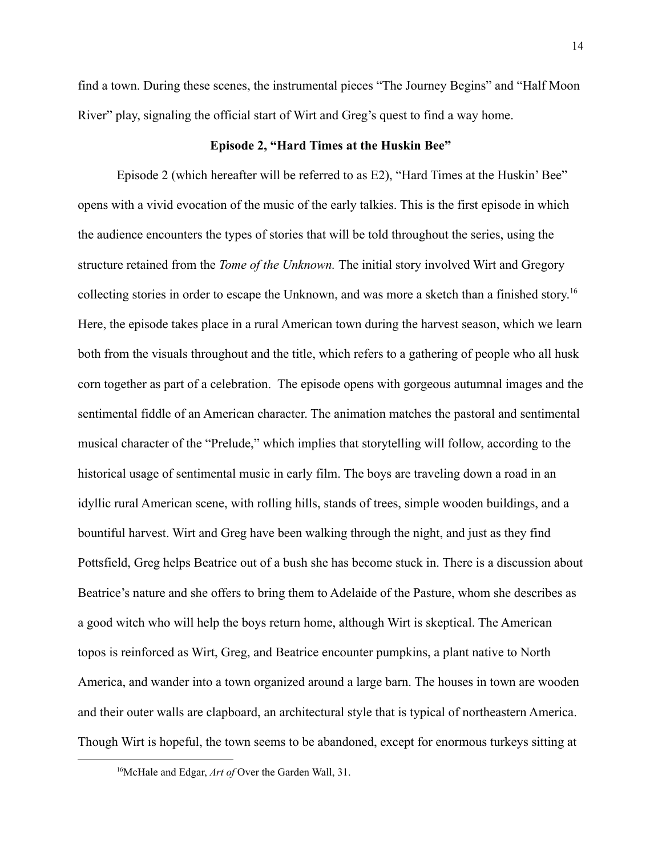find a town. During these scenes, the instrumental pieces "The Journey Begins" and "Half Moon River" play, signaling the official start of Wirt and Greg's quest to find a way home.

#### **Episode 2, "Hard Times at the Huskin Bee"**

Episode 2 (which hereafter will be referred to as E2), "Hard Times at the Huskin' Bee" opens with a vivid evocation of the music of the early talkies. This is the first episode in which the audience encounters the types of stories that will be told throughout the series, using the structure retained from the *Tome of the Unknown.* The initial story involved Wirt and Gregory collecting stories in order to escape the Unknown, and was more a sketch than a finished story. 16 Here, the episode takes place in a rural American town during the harvest season, which we learn both from the visuals throughout and the title, which refers to a gathering of people who all husk corn together as part of a celebration. The episode opens with gorgeous autumnal images and the sentimental fiddle of an American character. The animation matches the pastoral and sentimental musical character of the "Prelude," which implies that storytelling will follow, according to the historical usage of sentimental music in early film. The boys are traveling down a road in an idyllic rural American scene, with rolling hills, stands of trees, simple wooden buildings, and a bountiful harvest. Wirt and Greg have been walking through the night, and just as they find Pottsfield, Greg helps Beatrice out of a bush she has become stuck in. There is a discussion about Beatrice's nature and she offers to bring them to Adelaide of the Pasture, whom she describes as a good witch who will help the boys return home, although Wirt is skeptical. The American topos is reinforced as Wirt, Greg, and Beatrice encounter pumpkins, a plant native to North America, and wander into a town organized around a large barn. The houses in town are wooden and their outer walls are clapboard, an architectural style that is typical of northeastern America. Though Wirt is hopeful, the town seems to be abandoned, except for enormous turkeys sitting at

<sup>16</sup>McHale and Edgar, *Art of* Over the Garden Wall, 31.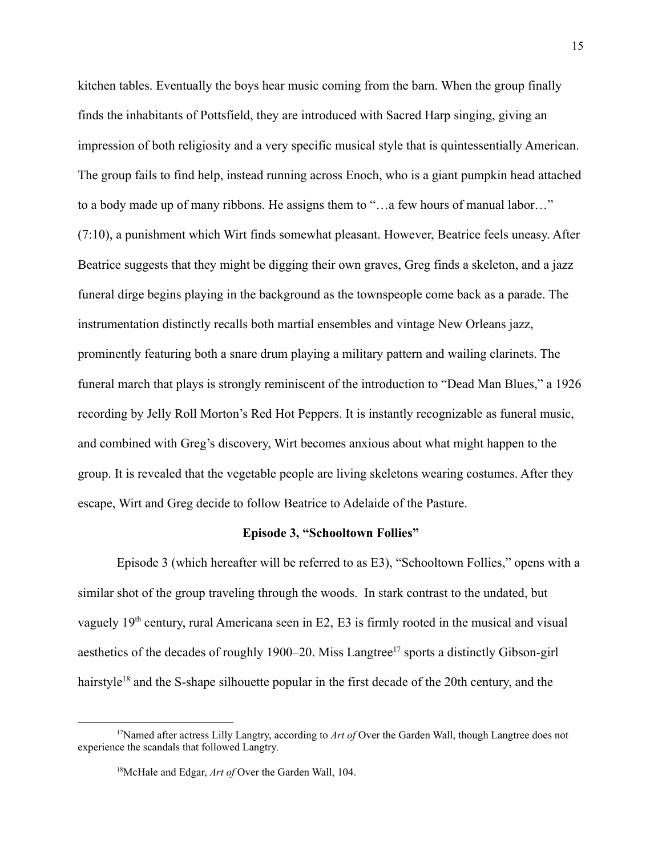kitchen tables. Eventually the boys hear music coming from the barn. When the group finally finds the inhabitants of Pottsfield, they are introduced with Sacred Harp singing, giving an impression of both religiosity and a very specific musical style that is quintessentially American. The group fails to find help, instead running across Enoch, who is a giant pumpkin head attached to a body made up of many ribbons. He assigns them to "…a few hours of manual labor…" (7:10), a punishment which Wirt finds somewhat pleasant. However, Beatrice feels uneasy. After Beatrice suggests that they might be digging their own graves, Greg finds a skeleton, and a jazz funeral dirge begins playing in the background as the townspeople come back as a parade. The instrumentation distinctly recalls both martial ensembles and vintage New Orleans jazz, prominently featuring both a snare drum playing a military pattern and wailing clarinets. The funeral march that plays is strongly reminiscent of the introduction to "Dead Man Blues," a 1926 recording by Jelly Roll Morton's Red Hot Peppers. It is instantly recognizable as funeral music, and combined with Greg's discovery, Wirt becomes anxious about what might happen to the group. It is revealed that the vegetable people are living skeletons wearing costumes. After they escape, Wirt and Greg decide to follow Beatrice to Adelaide of the Pasture.

#### **Episode 3, "Schooltown Follies"**

Episode 3 (which hereafter will be referred to as E3), "Schooltown Follies," opens with a similar shot of the group traveling through the woods. In stark contrast to the undated, but vaguely 19<sup>th</sup> century, rural Americana seen in E2, E3 is firmly rooted in the musical and visual aesthetics of the decades of roughly 1900–20. Miss Langtree<sup>17</sup> sports a distinctly Gibson-girl hairstyle<sup>18</sup> and the S-shape silhouette popular in the first decade of the 20th century, and the

<sup>17</sup>Named after actress Lilly Langtry, according to *Art of* Over the Garden Wall, though Langtree does not experience the scandals that followed Langtry.

<sup>18</sup>McHale and Edgar, *Art of* Over the Garden Wall, 104.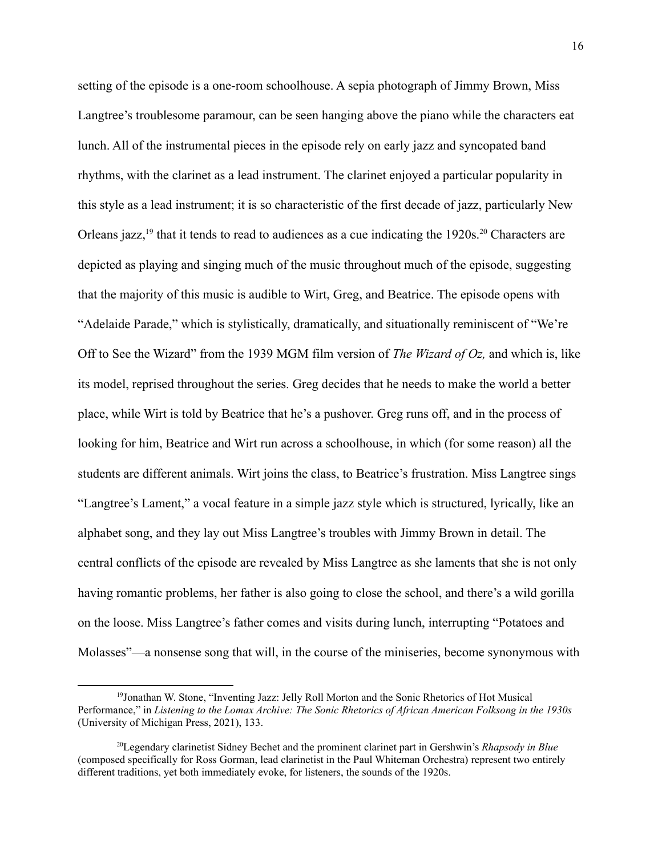setting of the episode is a one-room schoolhouse. A sepia photograph of Jimmy Brown, Miss Langtree's troublesome paramour, can be seen hanging above the piano while the characters eat lunch. All of the instrumental pieces in the episode rely on early jazz and syncopated band rhythms, with the clarinet as a lead instrument. The clarinet enjoyed a particular popularity in this style as a lead instrument; it is so characteristic of the first decade of jazz, particularly New Orleans jazz,  $19$  that it tends to read to audiences as a cue indicating the 1920s.  $20$  Characters are depicted as playing and singing much of the music throughout much of the episode, suggesting that the majority of this music is audible to Wirt, Greg, and Beatrice. The episode opens with "Adelaide Parade," which is stylistically, dramatically, and situationally reminiscent of "We're Off to See the Wizard" from the 1939 MGM film version of *The Wizard of Oz,* and which is, like its model, reprised throughout the series. Greg decides that he needs to make the world a better place, while Wirt is told by Beatrice that he's a pushover. Greg runs off, and in the process of looking for him, Beatrice and Wirt run across a schoolhouse, in which (for some reason) all the students are different animals. Wirt joins the class, to Beatrice's frustration. Miss Langtree sings "Langtree's Lament," a vocal feature in a simple jazz style which is structured, lyrically, like an alphabet song, and they lay out Miss Langtree's troubles with Jimmy Brown in detail. The central conflicts of the episode are revealed by Miss Langtree as she laments that she is not only having romantic problems, her father is also going to close the school, and there's a wild gorilla on the loose. Miss Langtree's father comes and visits during lunch, interrupting "Potatoes and Molasses"—a nonsense song that will, in the course of the miniseries, become synonymous with

<sup>19</sup>Jonathan W. Stone, "Inventing Jazz: Jelly Roll Morton and the Sonic Rhetorics of Hot Musical Performance," in *Listening to the Lomax Archive: The Sonic Rhetorics of African American Folksong in the 1930s* (University of Michigan Press, 2021), 133.

<sup>20</sup>Legendary clarinetist Sidney Bechet and the prominent clarinet part in Gershwin's *Rhapsody in Blue* (composed specifically for Ross Gorman, lead clarinetist in the Paul Whiteman Orchestra) represent two entirely different traditions, yet both immediately evoke, for listeners, the sounds of the 1920s.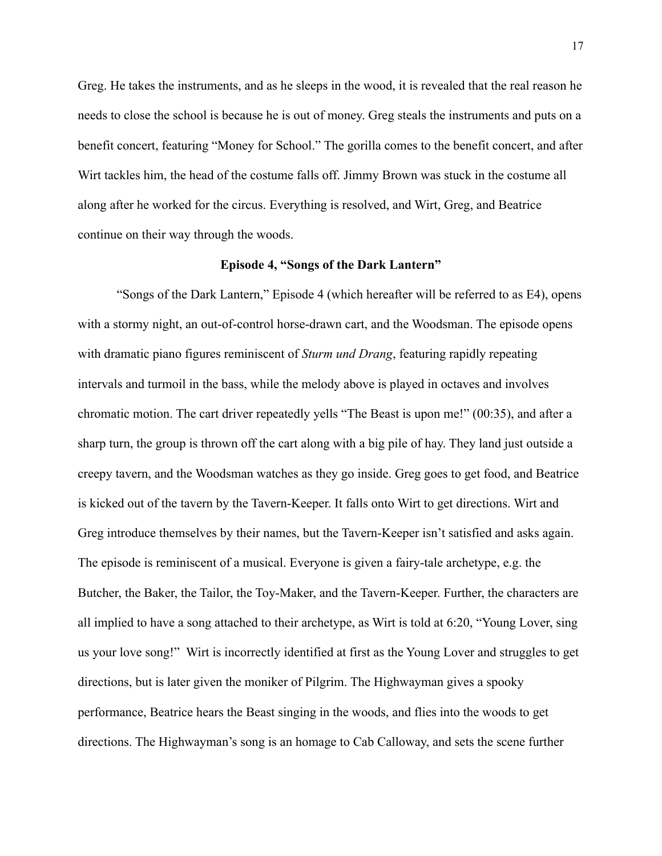Greg. He takes the instruments, and as he sleeps in the wood, it is revealed that the real reason he needs to close the school is because he is out of money. Greg steals the instruments and puts on a benefit concert, featuring "Money for School." The gorilla comes to the benefit concert, and after Wirt tackles him, the head of the costume falls off. Jimmy Brown was stuck in the costume all along after he worked for the circus. Everything is resolved, and Wirt, Greg, and Beatrice continue on their way through the woods.

## **Episode 4, "Songs of the Dark Lantern"**

"Songs of the Dark Lantern," Episode 4 (which hereafter will be referred to as E4), opens with a stormy night, an out-of-control horse-drawn cart, and the Woodsman. The episode opens with dramatic piano figures reminiscent of *Sturm und Drang*, featuring rapidly repeating intervals and turmoil in the bass, while the melody above is played in octaves and involves chromatic motion. The cart driver repeatedly yells "The Beast is upon me!" (00:35), and after a sharp turn, the group is thrown off the cart along with a big pile of hay. They land just outside a creepy tavern, and the Woodsman watches as they go inside. Greg goes to get food, and Beatrice is kicked out of the tavern by the Tavern-Keeper. It falls onto Wirt to get directions. Wirt and Greg introduce themselves by their names, but the Tavern-Keeper isn't satisfied and asks again. The episode is reminiscent of a musical. Everyone is given a fairy-tale archetype, e.g. the Butcher, the Baker, the Tailor, the Toy-Maker, and the Tavern-Keeper. Further, the characters are all implied to have a song attached to their archetype, as Wirt is told at 6:20, "Young Lover, sing us your love song!" Wirt is incorrectly identified at first as the Young Lover and struggles to get directions, but is later given the moniker of Pilgrim. The Highwayman gives a spooky performance, Beatrice hears the Beast singing in the woods, and flies into the woods to get directions. The Highwayman's song is an homage to Cab Calloway, and sets the scene further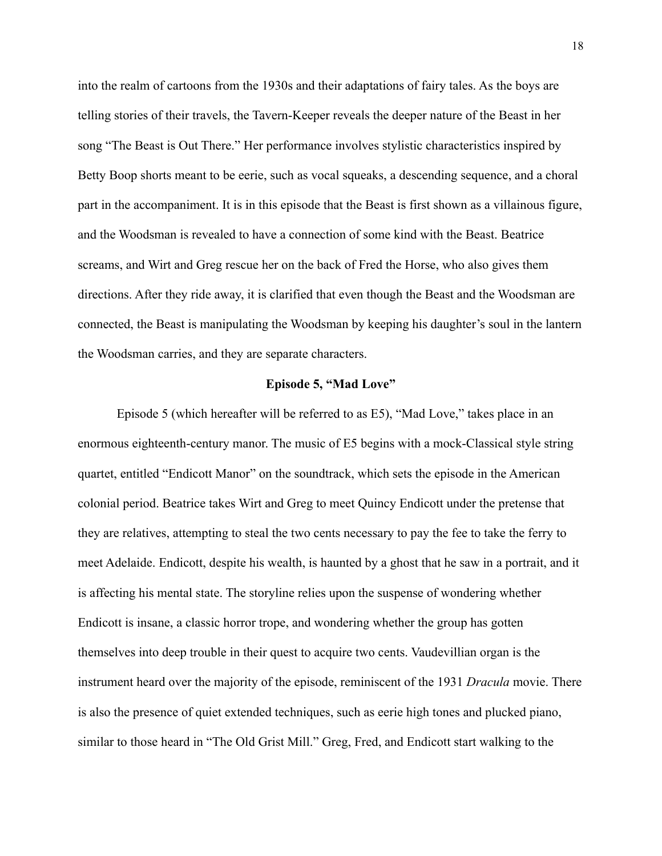into the realm of cartoons from the 1930s and their adaptations of fairy tales. As the boys are telling stories of their travels, the Tavern-Keeper reveals the deeper nature of the Beast in her song "The Beast is Out There." Her performance involves stylistic characteristics inspired by Betty Boop shorts meant to be eerie, such as vocal squeaks, a descending sequence, and a choral part in the accompaniment. It is in this episode that the Beast is first shown as a villainous figure, and the Woodsman is revealed to have a connection of some kind with the Beast. Beatrice screams, and Wirt and Greg rescue her on the back of Fred the Horse, who also gives them directions. After they ride away, it is clarified that even though the Beast and the Woodsman are connected, the Beast is manipulating the Woodsman by keeping his daughter's soul in the lantern the Woodsman carries, and they are separate characters.

#### **Episode 5, "Mad Love"**

Episode 5 (which hereafter will be referred to as E5), "Mad Love," takes place in an enormous eighteenth-century manor. The music of E5 begins with a mock-Classical style string quartet, entitled "Endicott Manor" on the soundtrack, which sets the episode in the American colonial period. Beatrice takes Wirt and Greg to meet Quincy Endicott under the pretense that they are relatives, attempting to steal the two cents necessary to pay the fee to take the ferry to meet Adelaide. Endicott, despite his wealth, is haunted by a ghost that he saw in a portrait, and it is affecting his mental state. The storyline relies upon the suspense of wondering whether Endicott is insane, a classic horror trope, and wondering whether the group has gotten themselves into deep trouble in their quest to acquire two cents. Vaudevillian organ is the instrument heard over the majority of the episode, reminiscent of the 1931 *Dracula* movie. There is also the presence of quiet extended techniques, such as eerie high tones and plucked piano, similar to those heard in "The Old Grist Mill." Greg, Fred, and Endicott start walking to the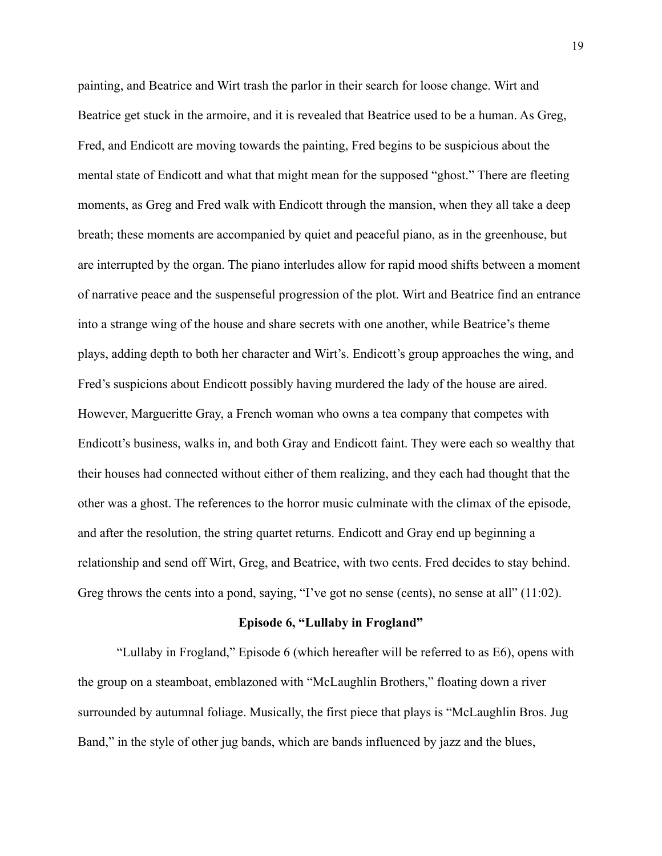painting, and Beatrice and Wirt trash the parlor in their search for loose change. Wirt and Beatrice get stuck in the armoire, and it is revealed that Beatrice used to be a human. As Greg, Fred, and Endicott are moving towards the painting, Fred begins to be suspicious about the mental state of Endicott and what that might mean for the supposed "ghost." There are fleeting moments, as Greg and Fred walk with Endicott through the mansion, when they all take a deep breath; these moments are accompanied by quiet and peaceful piano, as in the greenhouse, but are interrupted by the organ. The piano interludes allow for rapid mood shifts between a moment of narrative peace and the suspenseful progression of the plot. Wirt and Beatrice find an entrance into a strange wing of the house and share secrets with one another, while Beatrice's theme plays, adding depth to both her character and Wirt's. Endicott's group approaches the wing, and Fred's suspicions about Endicott possibly having murdered the lady of the house are aired. However, Margueritte Gray, a French woman who owns a tea company that competes with Endicott's business, walks in, and both Gray and Endicott faint. They were each so wealthy that their houses had connected without either of them realizing, and they each had thought that the other was a ghost. The references to the horror music culminate with the climax of the episode, and after the resolution, the string quartet returns. Endicott and Gray end up beginning a relationship and send off Wirt, Greg, and Beatrice, with two cents. Fred decides to stay behind. Greg throws the cents into a pond, saying, "I've got no sense (cents), no sense at all" (11:02).

#### **Episode 6, "Lullaby in Frogland"**

"Lullaby in Frogland," Episode 6 (which hereafter will be referred to as E6), opens with the group on a steamboat, emblazoned with "McLaughlin Brothers," floating down a river surrounded by autumnal foliage. Musically, the first piece that plays is "McLaughlin Bros. Jug Band," in the style of other jug bands, which are bands influenced by jazz and the blues,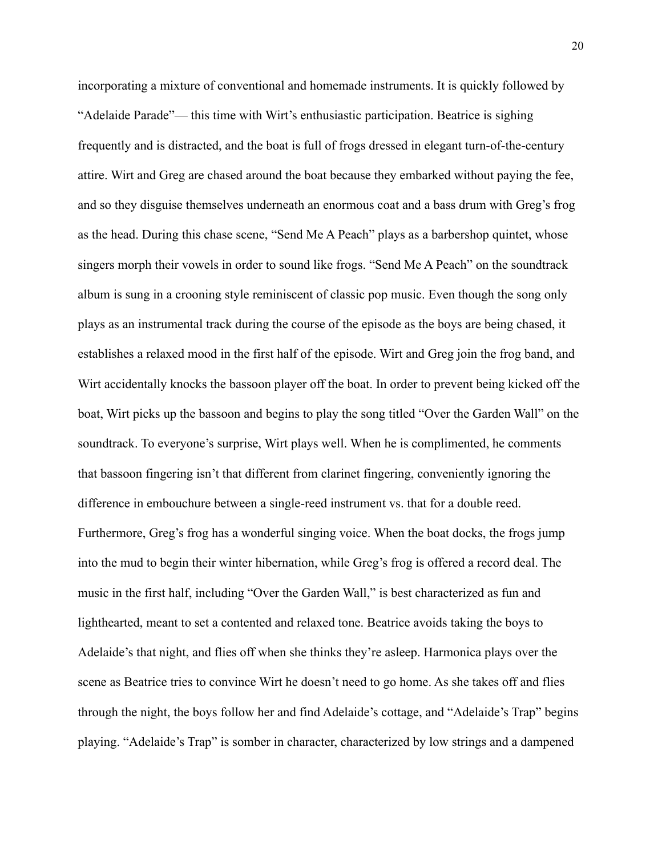incorporating a mixture of conventional and homemade instruments. It is quickly followed by "Adelaide Parade"— this time with Wirt's enthusiastic participation. Beatrice is sighing frequently and is distracted, and the boat is full of frogs dressed in elegant turn-of-the-century attire. Wirt and Greg are chased around the boat because they embarked without paying the fee, and so they disguise themselves underneath an enormous coat and a bass drum with Greg's frog as the head. During this chase scene, "Send Me A Peach" plays as a barbershop quintet, whose singers morph their vowels in order to sound like frogs. "Send Me A Peach" on the soundtrack album is sung in a crooning style reminiscent of classic pop music. Even though the song only plays as an instrumental track during the course of the episode as the boys are being chased, it establishes a relaxed mood in the first half of the episode. Wirt and Greg join the frog band, and Wirt accidentally knocks the bassoon player off the boat. In order to prevent being kicked off the boat, Wirt picks up the bassoon and begins to play the song titled "Over the Garden Wall" on the soundtrack. To everyone's surprise, Wirt plays well. When he is complimented, he comments that bassoon fingering isn't that different from clarinet fingering, conveniently ignoring the difference in embouchure between a single-reed instrument vs. that for a double reed. Furthermore, Greg's frog has a wonderful singing voice. When the boat docks, the frogs jump into the mud to begin their winter hibernation, while Greg's frog is offered a record deal. The music in the first half, including "Over the Garden Wall," is best characterized as fun and lighthearted, meant to set a contented and relaxed tone. Beatrice avoids taking the boys to Adelaide's that night, and flies off when she thinks they're asleep. Harmonica plays over the scene as Beatrice tries to convince Wirt he doesn't need to go home. As she takes off and flies through the night, the boys follow her and find Adelaide's cottage, and "Adelaide's Trap" begins playing. "Adelaide's Trap" is somber in character, characterized by low strings and a dampened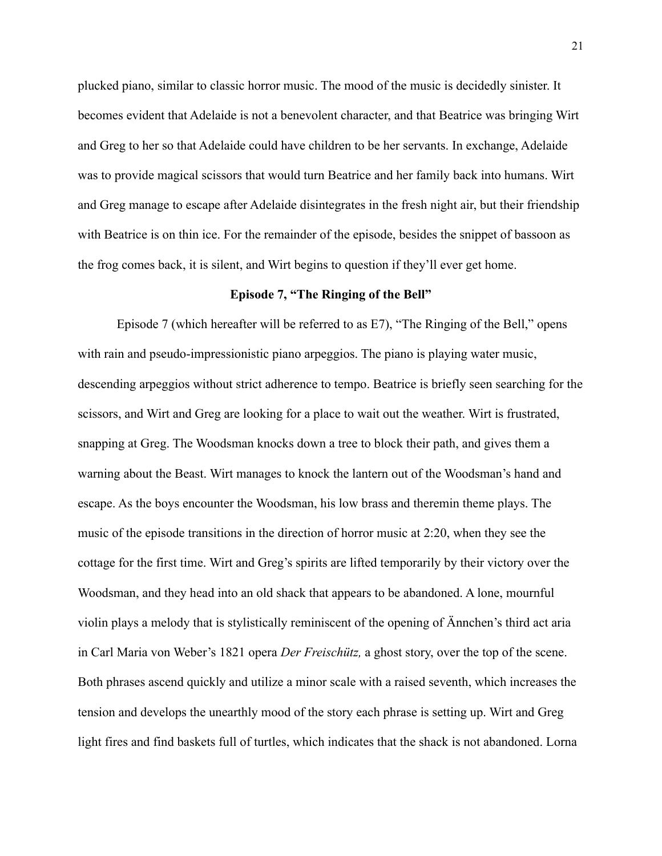plucked piano, similar to classic horror music. The mood of the music is decidedly sinister. It becomes evident that Adelaide is not a benevolent character, and that Beatrice was bringing Wirt and Greg to her so that Adelaide could have children to be her servants. In exchange, Adelaide was to provide magical scissors that would turn Beatrice and her family back into humans. Wirt and Greg manage to escape after Adelaide disintegrates in the fresh night air, but their friendship with Beatrice is on thin ice. For the remainder of the episode, besides the snippet of bassoon as the frog comes back, it is silent, and Wirt begins to question if they'll ever get home.

#### **Episode 7, "The Ringing of the Bell"**

Episode 7 (which hereafter will be referred to as E7), "The Ringing of the Bell," opens with rain and pseudo-impressionistic piano arpeggios. The piano is playing water music, descending arpeggios without strict adherence to tempo. Beatrice is briefly seen searching for the scissors, and Wirt and Greg are looking for a place to wait out the weather. Wirt is frustrated, snapping at Greg. The Woodsman knocks down a tree to block their path, and gives them a warning about the Beast. Wirt manages to knock the lantern out of the Woodsman's hand and escape. As the boys encounter the Woodsman, his low brass and theremin theme plays. The music of the episode transitions in the direction of horror music at 2:20, when they see the cottage for the first time. Wirt and Greg's spirits are lifted temporarily by their victory over the Woodsman, and they head into an old shack that appears to be abandoned. A lone, mournful violin plays a melody that is stylistically reminiscent of the opening of Ännchen's third act aria in Carl Maria von Weber's 1821 opera *Der Freischütz,* a ghost story, over the top of the scene. Both phrases ascend quickly and utilize a minor scale with a raised seventh, which increases the tension and develops the unearthly mood of the story each phrase is setting up. Wirt and Greg light fires and find baskets full of turtles, which indicates that the shack is not abandoned. Lorna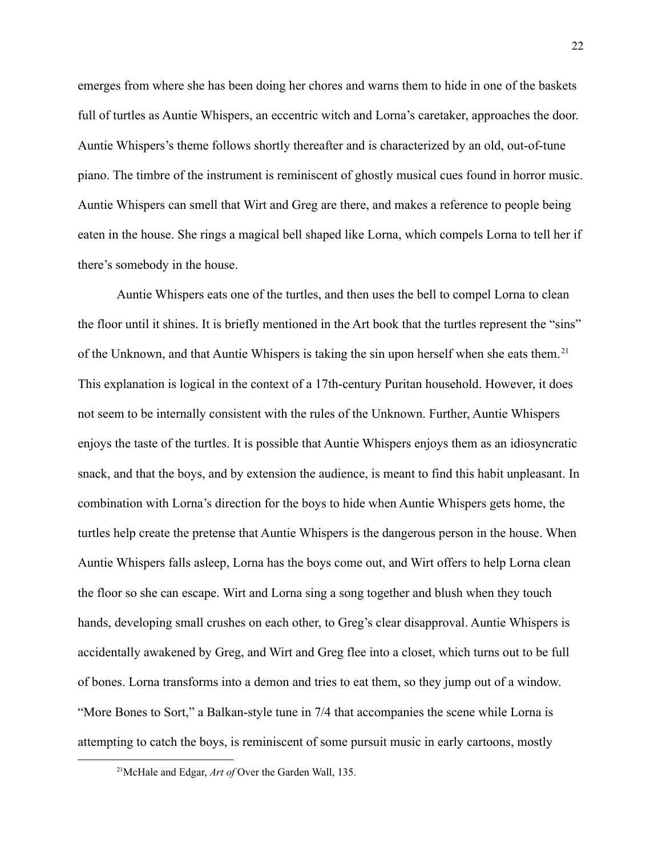emerges from where she has been doing her chores and warns them to hide in one of the baskets full of turtles as Auntie Whispers, an eccentric witch and Lorna's caretaker, approaches the door. Auntie Whispers's theme follows shortly thereafter and is characterized by an old, out-of-tune piano. The timbre of the instrument is reminiscent of ghostly musical cues found in horror music. Auntie Whispers can smell that Wirt and Greg are there, and makes a reference to people being eaten in the house. She rings a magical bell shaped like Lorna, which compels Lorna to tell her if there's somebody in the house.

Auntie Whispers eats one of the turtles, and then uses the bell to compel Lorna to clean the floor until it shines. It is briefly mentioned in the Art book that the turtles represent the "sins" of the Unknown, and that Auntie Whispers is taking the sin upon herself when she eats them.<sup>21</sup> This explanation is logical in the context of a 17th-century Puritan household. However, it does not seem to be internally consistent with the rules of the Unknown. Further, Auntie Whispers enjoys the taste of the turtles. It is possible that Auntie Whispers enjoys them as an idiosyncratic snack, and that the boys, and by extension the audience, is meant to find this habit unpleasant. In combination with Lorna's direction for the boys to hide when Auntie Whispers gets home, the turtles help create the pretense that Auntie Whispers is the dangerous person in the house. When Auntie Whispers falls asleep, Lorna has the boys come out, and Wirt offers to help Lorna clean the floor so she can escape. Wirt and Lorna sing a song together and blush when they touch hands, developing small crushes on each other, to Greg's clear disapproval. Auntie Whispers is accidentally awakened by Greg, and Wirt and Greg flee into a closet, which turns out to be full of bones. Lorna transforms into a demon and tries to eat them, so they jump out of a window. "More Bones to Sort," a Balkan-style tune in 7/4 that accompanies the scene while Lorna is attempting to catch the boys, is reminiscent of some pursuit music in early cartoons, mostly

<sup>21</sup>McHale and Edgar, *Art of* Over the Garden Wall, 135.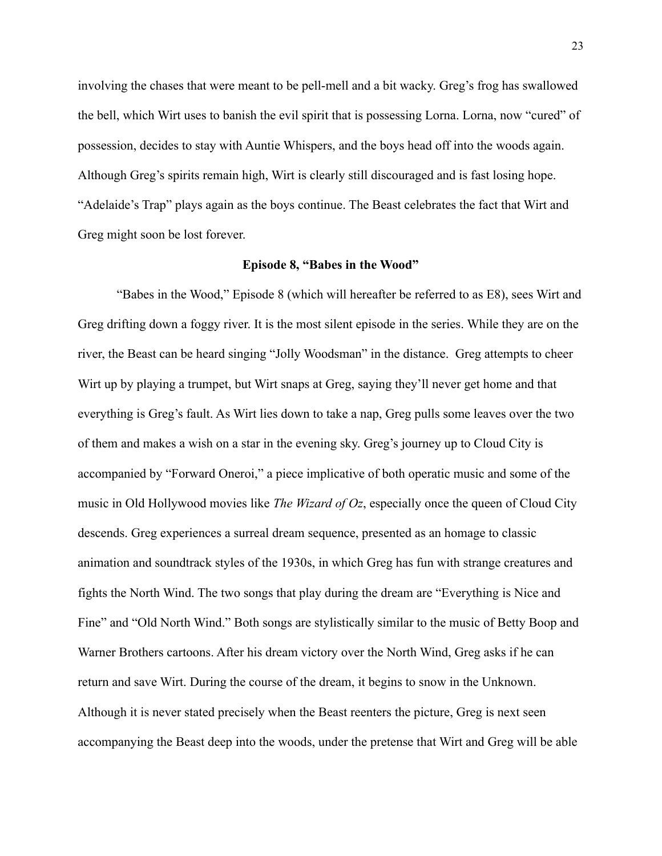involving the chases that were meant to be pell-mell and a bit wacky. Greg's frog has swallowed the bell, which Wirt uses to banish the evil spirit that is possessing Lorna. Lorna, now "cured" of possession, decides to stay with Auntie Whispers, and the boys head off into the woods again. Although Greg's spirits remain high, Wirt is clearly still discouraged and is fast losing hope. "Adelaide's Trap" plays again as the boys continue. The Beast celebrates the fact that Wirt and Greg might soon be lost forever.

## **Episode 8, "Babes in the Wood"**

"Babes in the Wood," Episode 8 (which will hereafter be referred to as E8), sees Wirt and Greg drifting down a foggy river. It is the most silent episode in the series. While they are on the river, the Beast can be heard singing "Jolly Woodsman" in the distance. Greg attempts to cheer Wirt up by playing a trumpet, but Wirt snaps at Greg, saying they'll never get home and that everything is Greg's fault. As Wirt lies down to take a nap, Greg pulls some leaves over the two of them and makes a wish on a star in the evening sky. Greg's journey up to Cloud City is accompanied by "Forward Oneroi," a piece implicative of both operatic music and some of the music in Old Hollywood movies like *The Wizard of Oz*, especially once the queen of Cloud City descends. Greg experiences a surreal dream sequence, presented as an homage to classic animation and soundtrack styles of the 1930s, in which Greg has fun with strange creatures and fights the North Wind. The two songs that play during the dream are "Everything is Nice and Fine" and "Old North Wind." Both songs are stylistically similar to the music of Betty Boop and Warner Brothers cartoons. After his dream victory over the North Wind, Greg asks if he can return and save Wirt. During the course of the dream, it begins to snow in the Unknown. Although it is never stated precisely when the Beast reenters the picture, Greg is next seen accompanying the Beast deep into the woods, under the pretense that Wirt and Greg will be able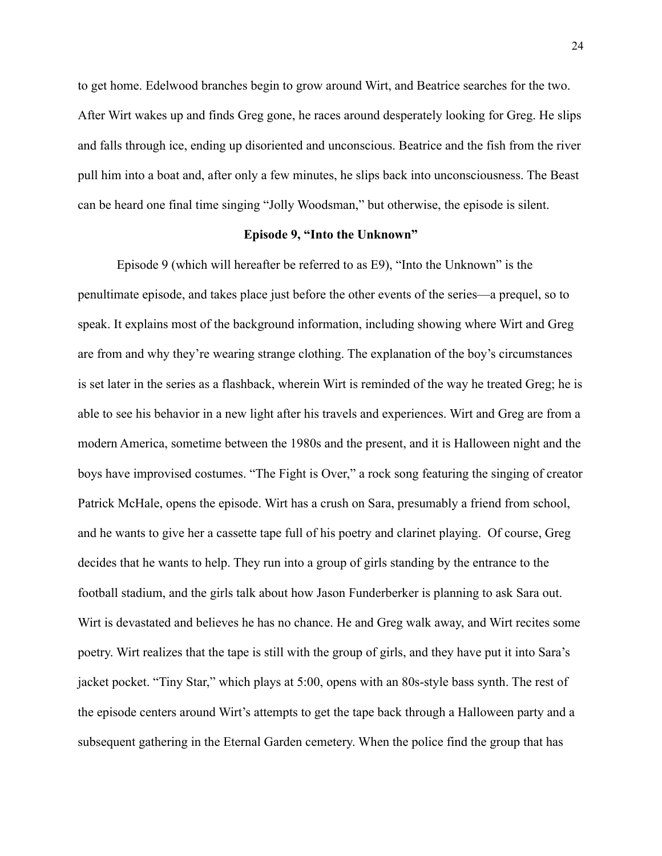to get home. Edelwood branches begin to grow around Wirt, and Beatrice searches for the two. After Wirt wakes up and finds Greg gone, he races around desperately looking for Greg. He slips and falls through ice, ending up disoriented and unconscious. Beatrice and the fish from the river pull him into a boat and, after only a few minutes, he slips back into unconsciousness. The Beast can be heard one final time singing "Jolly Woodsman," but otherwise, the episode is silent.

#### **Episode 9, "Into the Unknown"**

Episode 9 (which will hereafter be referred to as E9), "Into the Unknown" is the penultimate episode, and takes place just before the other events of the series—a prequel, so to speak. It explains most of the background information, including showing where Wirt and Greg are from and why they're wearing strange clothing. The explanation of the boy's circumstances is set later in the series as a flashback, wherein Wirt is reminded of the way he treated Greg; he is able to see his behavior in a new light after his travels and experiences. Wirt and Greg are from a modern America, sometime between the 1980s and the present, and it is Halloween night and the boys have improvised costumes. "The Fight is Over," a rock song featuring the singing of creator Patrick McHale, opens the episode. Wirt has a crush on Sara, presumably a friend from school, and he wants to give her a cassette tape full of his poetry and clarinet playing. Of course, Greg decides that he wants to help. They run into a group of girls standing by the entrance to the football stadium, and the girls talk about how Jason Funderberker is planning to ask Sara out. Wirt is devastated and believes he has no chance. He and Greg walk away, and Wirt recites some poetry. Wirt realizes that the tape is still with the group of girls, and they have put it into Sara's jacket pocket. "Tiny Star," which plays at 5:00, opens with an 80s-style bass synth. The rest of the episode centers around Wirt's attempts to get the tape back through a Halloween party and a subsequent gathering in the Eternal Garden cemetery. When the police find the group that has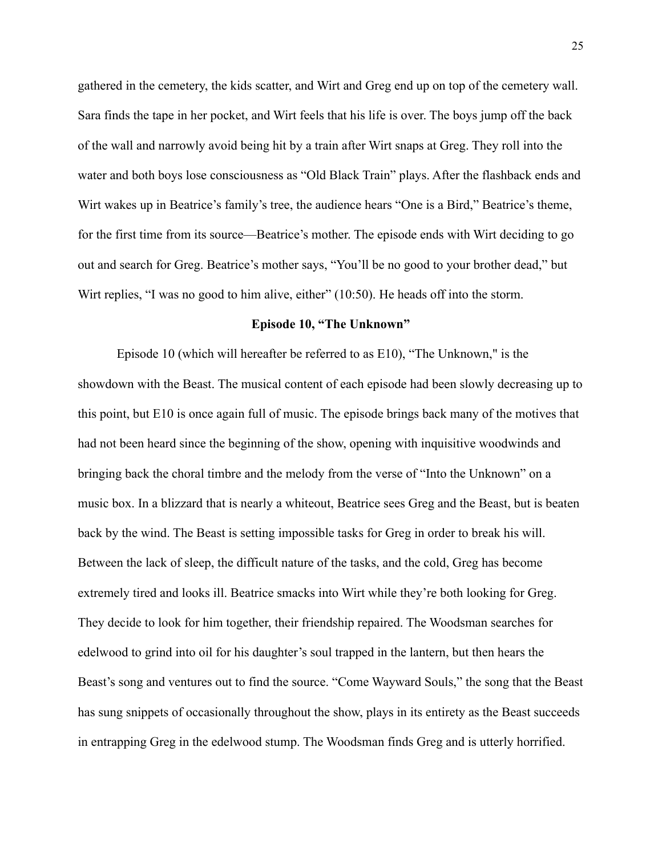gathered in the cemetery, the kids scatter, and Wirt and Greg end up on top of the cemetery wall. Sara finds the tape in her pocket, and Wirt feels that his life is over. The boys jump off the back of the wall and narrowly avoid being hit by a train after Wirt snaps at Greg. They roll into the water and both boys lose consciousness as "Old Black Train" plays. After the flashback ends and Wirt wakes up in Beatrice's family's tree, the audience hears "One is a Bird," Beatrice's theme, for the first time from its source—Beatrice's mother. The episode ends with Wirt deciding to go out and search for Greg. Beatrice's mother says, "You'll be no good to your brother dead," but Wirt replies, "I was no good to him alive, either" (10:50). He heads off into the storm.

#### **Episode 10, "The Unknown"**

Episode 10 (which will hereafter be referred to as E10), "The Unknown," is the showdown with the Beast. The musical content of each episode had been slowly decreasing up to this point, but E10 is once again full of music. The episode brings back many of the motives that had not been heard since the beginning of the show, opening with inquisitive woodwinds and bringing back the choral timbre and the melody from the verse of "Into the Unknown" on a music box. In a blizzard that is nearly a whiteout, Beatrice sees Greg and the Beast, but is beaten back by the wind. The Beast is setting impossible tasks for Greg in order to break his will. Between the lack of sleep, the difficult nature of the tasks, and the cold, Greg has become extremely tired and looks ill. Beatrice smacks into Wirt while they're both looking for Greg. They decide to look for him together, their friendship repaired. The Woodsman searches for edelwood to grind into oil for his daughter's soul trapped in the lantern, but then hears the Beast's song and ventures out to find the source. "Come Wayward Souls," the song that the Beast has sung snippets of occasionally throughout the show, plays in its entirety as the Beast succeeds in entrapping Greg in the edelwood stump. The Woodsman finds Greg and is utterly horrified.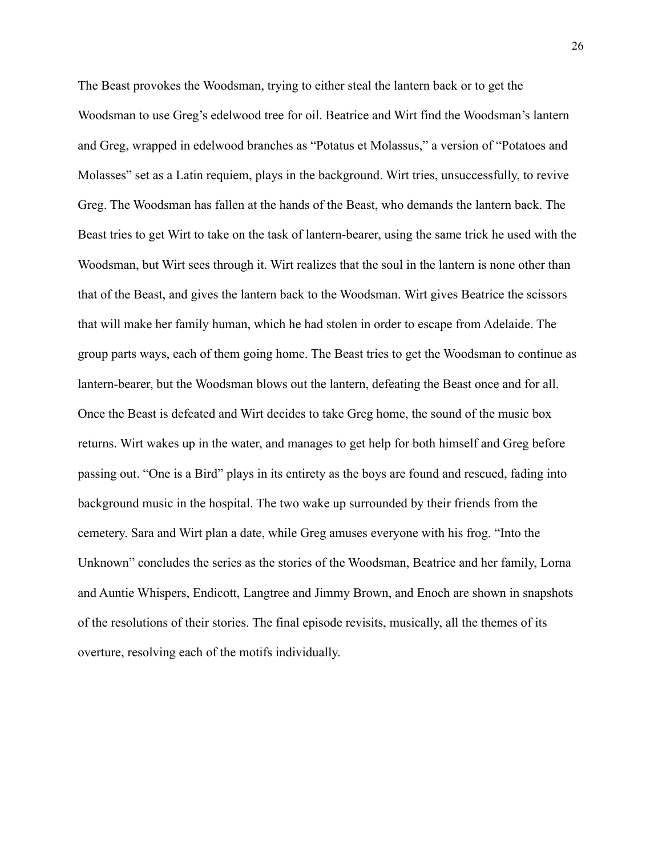The Beast provokes the Woodsman, trying to either steal the lantern back or to get the Woodsman to use Greg's edelwood tree for oil. Beatrice and Wirt find the Woodsman's lantern and Greg, wrapped in edelwood branches as "Potatus et Molassus," a version of "Potatoes and Molasses" set as a Latin requiem, plays in the background. Wirt tries, unsuccessfully, to revive Greg. The Woodsman has fallen at the hands of the Beast, who demands the lantern back. The Beast tries to get Wirt to take on the task of lantern-bearer, using the same trick he used with the Woodsman, but Wirt sees through it. Wirt realizes that the soul in the lantern is none other than that of the Beast, and gives the lantern back to the Woodsman. Wirt gives Beatrice the scissors that will make her family human, which he had stolen in order to escape from Adelaide. The group parts ways, each of them going home. The Beast tries to get the Woodsman to continue as lantern-bearer, but the Woodsman blows out the lantern, defeating the Beast once and for all. Once the Beast is defeated and Wirt decides to take Greg home, the sound of the music box returns. Wirt wakes up in the water, and manages to get help for both himself and Greg before passing out. "One is a Bird" plays in its entirety as the boys are found and rescued, fading into background music in the hospital. The two wake up surrounded by their friends from the cemetery. Sara and Wirt plan a date, while Greg amuses everyone with his frog. "Into the Unknown" concludes the series as the stories of the Woodsman, Beatrice and her family, Lorna and Auntie Whispers, Endicott, Langtree and Jimmy Brown, and Enoch are shown in snapshots of the resolutions of their stories. The final episode revisits, musically, all the themes of its overture, resolving each of the motifs individually.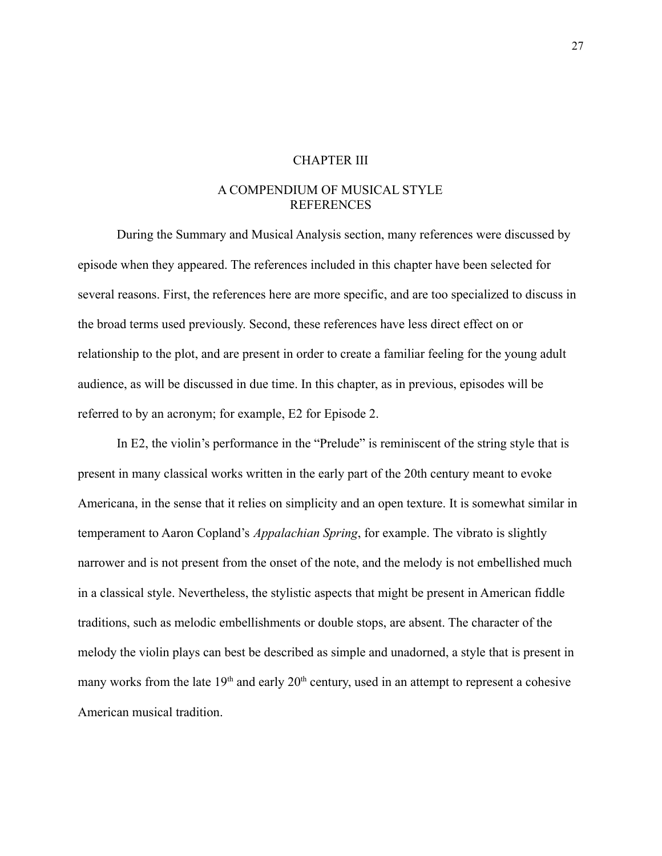## CHAPTER III

## A COMPENDIUM OF MUSICAL STYLE **REFERENCES**

During the Summary and Musical Analysis section, many references were discussed by episode when they appeared. The references included in this chapter have been selected for several reasons. First, the references here are more specific, and are too specialized to discuss in the broad terms used previously. Second, these references have less direct effect on or relationship to the plot, and are present in order to create a familiar feeling for the young adult audience, as will be discussed in due time. In this chapter, as in previous, episodes will be referred to by an acronym; for example, E2 for Episode 2.

In E2, the violin's performance in the "Prelude" is reminiscent of the string style that is present in many classical works written in the early part of the 20th century meant to evoke Americana, in the sense that it relies on simplicity and an open texture. It is somewhat similar in temperament to Aaron Copland's *Appalachian Spring*, for example. The vibrato is slightly narrower and is not present from the onset of the note, and the melody is not embellished much in a classical style. Nevertheless, the stylistic aspects that might be present in American fiddle traditions, such as melodic embellishments or double stops, are absent. The character of the melody the violin plays can best be described as simple and unadorned, a style that is present in many works from the late  $19<sup>th</sup>$  and early  $20<sup>th</sup>$  century, used in an attempt to represent a cohesive American musical tradition.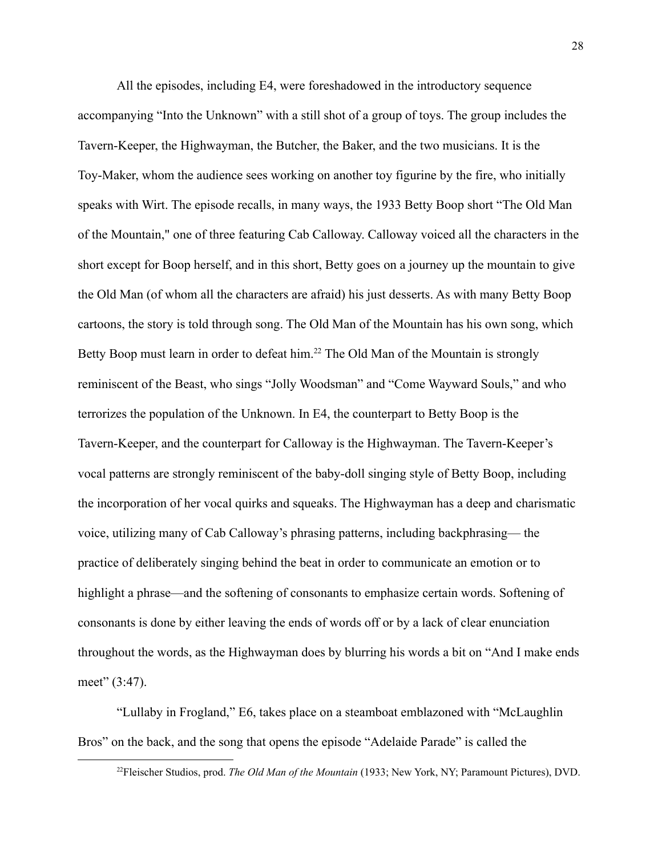All the episodes, including E4, were foreshadowed in the introductory sequence accompanying "Into the Unknown" with a still shot of a group of toys. The group includes the Tavern-Keeper, the Highwayman, the Butcher, the Baker, and the two musicians. It is the Toy-Maker, whom the audience sees working on another toy figurine by the fire, who initially speaks with Wirt. The episode recalls, in many ways, the 1933 Betty Boop short "The Old Man of the Mountain," one of three featuring Cab Calloway. Calloway voiced all the characters in the short except for Boop herself, and in this short, Betty goes on a journey up the mountain to give the Old Man (of whom all the characters are afraid) his just desserts. As with many Betty Boop cartoons, the story is told through song. The Old Man of the Mountain has his own song, which Betty Boop must learn in order to defeat him.<sup>22</sup> The Old Man of the Mountain is strongly reminiscent of the Beast, who sings "Jolly Woodsman" and "Come Wayward Souls," and who terrorizes the population of the Unknown. In E4, the counterpart to Betty Boop is the Tavern-Keeper, and the counterpart for Calloway is the Highwayman. The Tavern-Keeper's vocal patterns are strongly reminiscent of the baby-doll singing style of Betty Boop, including the incorporation of her vocal quirks and squeaks. The Highwayman has a deep and charismatic voice, utilizing many of Cab Calloway's phrasing patterns, including backphrasing— the practice of deliberately singing behind the beat in order to communicate an emotion or to highlight a phrase—and the softening of consonants to emphasize certain words. Softening of consonants is done by either leaving the ends of words off or by a lack of clear enunciation throughout the words, as the Highwayman does by blurring his words a bit on "And I make ends meet" (3:47).

"Lullaby in Frogland," E6, takes place on a steamboat emblazoned with "McLaughlin Bros" on the back, and the song that opens the episode "Adelaide Parade" is called the

<sup>22</sup>Fleischer Studios, prod. *The Old Man of the Mountain* (1933; New York, NY; Paramount Pictures), DVD.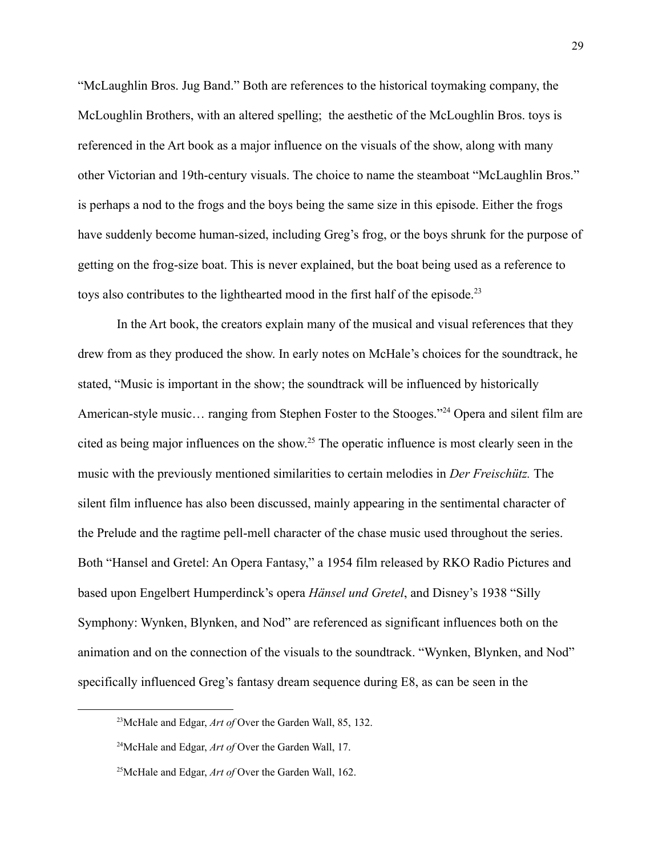"McLaughlin Bros. Jug Band." Both are references to the historical toymaking company, the McLoughlin Brothers, with an altered spelling; the aesthetic of the McLoughlin Bros. toys is referenced in the Art book as a major influence on the visuals of the show, along with many other Victorian and 19th-century visuals. The choice to name the steamboat "McLaughlin Bros." is perhaps a nod to the frogs and the boys being the same size in this episode. Either the frogs have suddenly become human-sized, including Greg's frog, or the boys shrunk for the purpose of getting on the frog-size boat. This is never explained, but the boat being used as a reference to toys also contributes to the lighthearted mood in the first half of the episode.<sup>23</sup>

In the Art book, the creators explain many of the musical and visual references that they drew from as they produced the show. In early notes on McHale's choices for the soundtrack, he stated, "Music is important in the show; the soundtrack will be influenced by historically American-style music... ranging from Stephen Foster to the Stooges."<sup>24</sup> Opera and silent film are cited as being major influences on the show. <sup>25</sup> The operatic influence is most clearly seen in the music with the previously mentioned similarities to certain melodies in *Der Freischütz.* The silent film influence has also been discussed, mainly appearing in the sentimental character of the Prelude and the ragtime pell-mell character of the chase music used throughout the series. Both "Hansel and Gretel: An Opera Fantasy," a 1954 film released by RKO Radio Pictures and based upon Engelbert Humperdinck's opera *Hänsel und Gretel*, and Disney's 1938 "Silly Symphony: Wynken, Blynken, and Nod" are referenced as significant influences both on the animation and on the connection of the visuals to the soundtrack. "Wynken, Blynken, and Nod" specifically influenced Greg's fantasy dream sequence during E8, as can be seen in the

<sup>23</sup>McHale and Edgar, *Art of* Over the Garden Wall, 85, 132.

<sup>24</sup>McHale and Edgar, *Art of* Over the Garden Wall, 17.

<sup>25</sup>McHale and Edgar, *Art of* Over the Garden Wall, 162.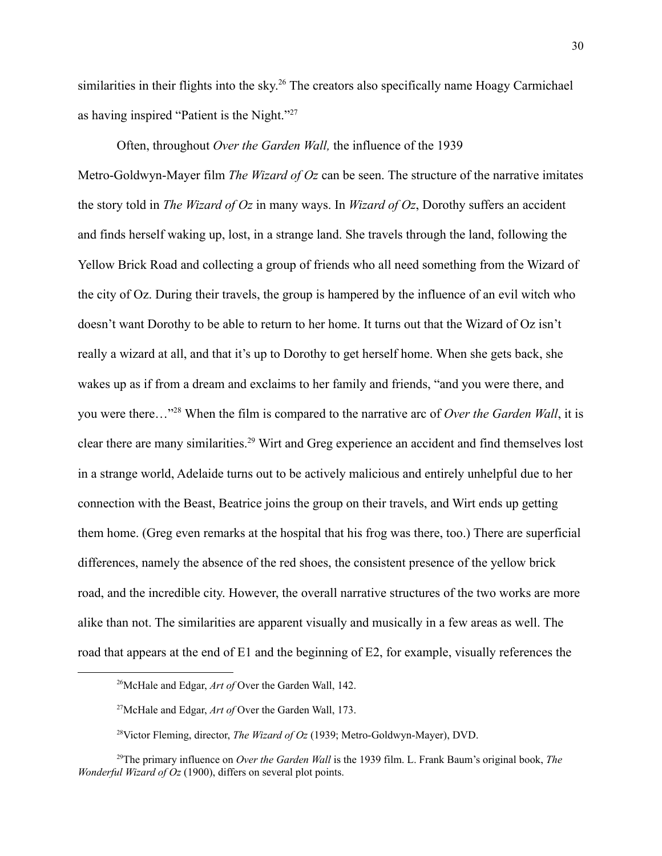similarities in their flights into the sky.<sup>26</sup> The creators also specifically name Hoagy Carmichael as having inspired "Patient is the Night."<sup>27</sup>

Often, throughout *Over the Garden Wall,* the influence of the 1939 Metro-Goldwyn-Mayer film *The Wizard of Oz* can be seen. The structure of the narrative imitates the story told in *The Wizard of Oz* in many ways. In *Wizard of Oz*, Dorothy suffers an accident and finds herself waking up, lost, in a strange land. She travels through the land, following the Yellow Brick Road and collecting a group of friends who all need something from the Wizard of the city of Oz. During their travels, the group is hampered by the influence of an evil witch who doesn't want Dorothy to be able to return to her home. It turns out that the Wizard of Oz isn't really a wizard at all, and that it's up to Dorothy to get herself home. When she gets back, she wakes up as if from a dream and exclaims to her family and friends, "and you were there, and you were there…"<sup>28</sup> When the film is compared to the narrative arc of *Over the Garden Wall*, it is clear there are many similarities.<sup>29</sup> Wirt and Greg experience an accident and find themselves lost in a strange world, Adelaide turns out to be actively malicious and entirely unhelpful due to her connection with the Beast, Beatrice joins the group on their travels, and Wirt ends up getting them home. (Greg even remarks at the hospital that his frog was there, too.) There are superficial differences, namely the absence of the red shoes, the consistent presence of the yellow brick road, and the incredible city. However, the overall narrative structures of the two works are more alike than not. The similarities are apparent visually and musically in a few areas as well. The road that appears at the end of E1 and the beginning of E2, for example, visually references the

<sup>26</sup>McHale and Edgar, *Art of* Over the Garden Wall, 142.

<sup>27</sup>McHale and Edgar, *Art of* Over the Garden Wall, 173.

<sup>28</sup>Victor Fleming, director, *The Wizard of Oz* (1939; Metro-Goldwyn-Mayer), DVD.

<sup>29</sup>The primary influence on *Over the Garden Wall* is the 1939 film. L. Frank Baum's original book, *The Wonderful Wizard of Oz* (1900), differs on several plot points.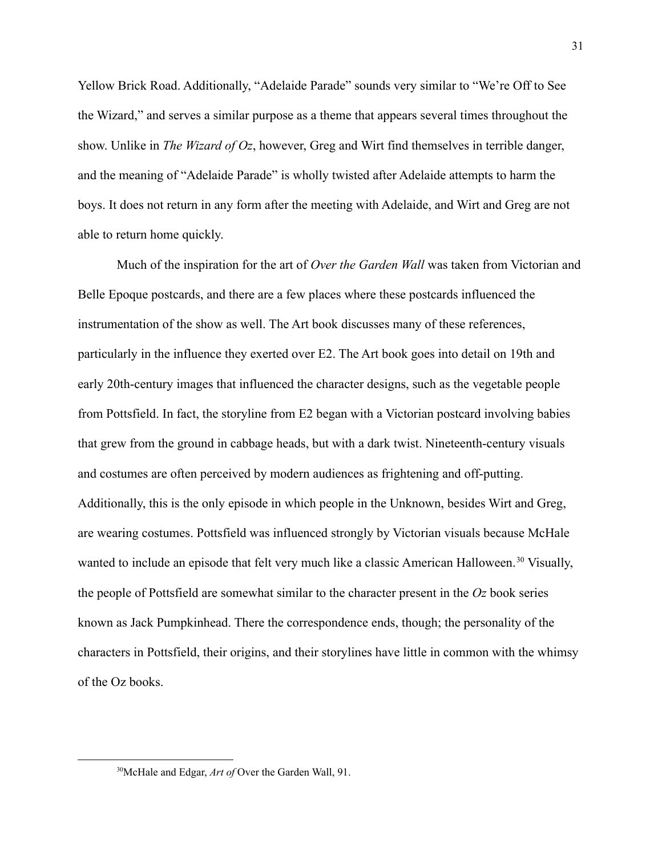Yellow Brick Road. Additionally, "Adelaide Parade" sounds very similar to "We're Off to See the Wizard," and serves a similar purpose as a theme that appears several times throughout the show. Unlike in *The Wizard of Oz*, however, Greg and Wirt find themselves in terrible danger, and the meaning of "Adelaide Parade" is wholly twisted after Adelaide attempts to harm the boys. It does not return in any form after the meeting with Adelaide, and Wirt and Greg are not able to return home quickly.

Much of the inspiration for the art of *Over the Garden Wall* was taken from Victorian and Belle Epoque postcards, and there are a few places where these postcards influenced the instrumentation of the show as well. The Art book discusses many of these references, particularly in the influence they exerted over E2. The Art book goes into detail on 19th and early 20th-century images that influenced the character designs, such as the vegetable people from Pottsfield. In fact, the storyline from E2 began with a Victorian postcard involving babies that grew from the ground in cabbage heads, but with a dark twist. Nineteenth-century visuals and costumes are often perceived by modern audiences as frightening and off-putting. Additionally, this is the only episode in which people in the Unknown, besides Wirt and Greg, are wearing costumes. Pottsfield was influenced strongly by Victorian visuals because McHale wanted to include an episode that felt very much like a classic American Halloween.<sup>30</sup> Visually, the people of Pottsfield are somewhat similar to the character present in the *Oz* book series known as Jack Pumpkinhead. There the correspondence ends, though; the personality of the characters in Pottsfield, their origins, and their storylines have little in common with the whimsy of the Oz books.

<sup>30</sup>McHale and Edgar, *Art of* Over the Garden Wall, 91.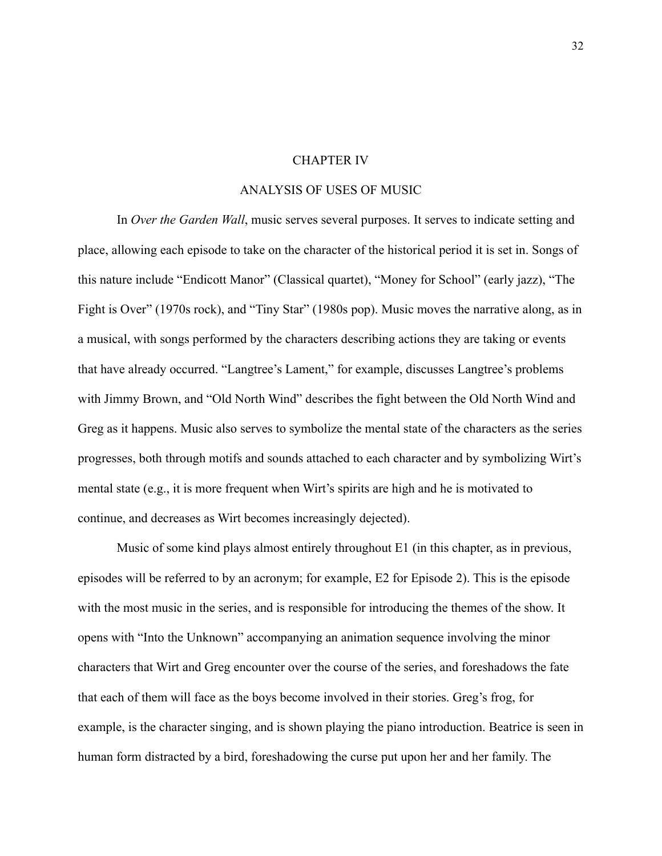### CHAPTER IV

## ANALYSIS OF USES OF MUSIC

In *Over the Garden Wall*, music serves several purposes. It serves to indicate setting and place, allowing each episode to take on the character of the historical period it is set in. Songs of this nature include "Endicott Manor" (Classical quartet), "Money for School" (early jazz), "The Fight is Over" (1970s rock), and "Tiny Star" (1980s pop). Music moves the narrative along, as in a musical, with songs performed by the characters describing actions they are taking or events that have already occurred. "Langtree's Lament," for example, discusses Langtree's problems with Jimmy Brown, and "Old North Wind" describes the fight between the Old North Wind and Greg as it happens. Music also serves to symbolize the mental state of the characters as the series progresses, both through motifs and sounds attached to each character and by symbolizing Wirt's mental state (e.g., it is more frequent when Wirt's spirits are high and he is motivated to continue, and decreases as Wirt becomes increasingly dejected).

Music of some kind plays almost entirely throughout E1 (in this chapter, as in previous, episodes will be referred to by an acronym; for example, E2 for Episode 2). This is the episode with the most music in the series, and is responsible for introducing the themes of the show. It opens with "Into the Unknown" accompanying an animation sequence involving the minor characters that Wirt and Greg encounter over the course of the series, and foreshadows the fate that each of them will face as the boys become involved in their stories. Greg's frog, for example, is the character singing, and is shown playing the piano introduction. Beatrice is seen in human form distracted by a bird, foreshadowing the curse put upon her and her family. The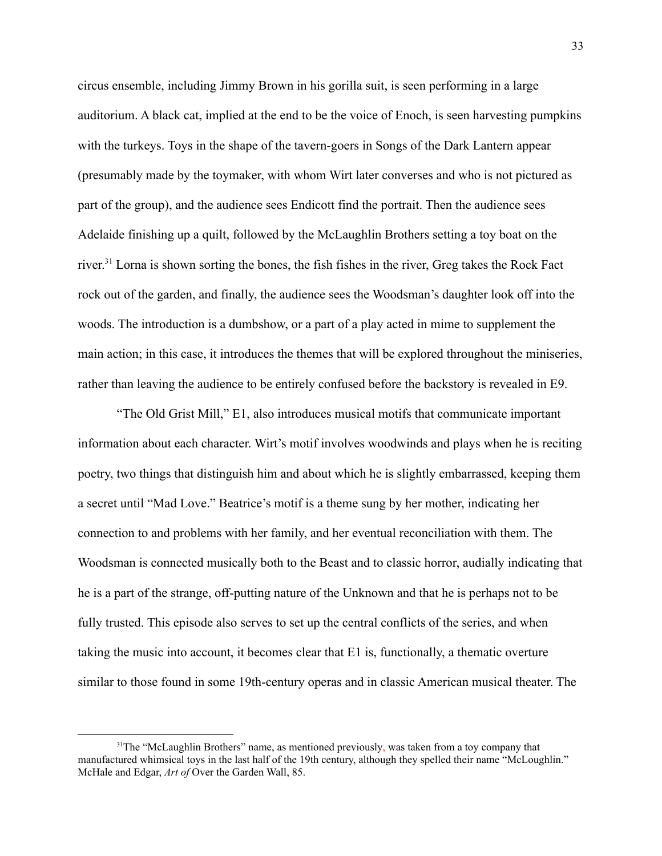circus ensemble, including Jimmy Brown in his gorilla suit, is seen performing in a large auditorium. A black cat, implied at the end to be the voice of Enoch, is seen harvesting pumpkins with the turkeys. Toys in the shape of the tavern-goers in Songs of the Dark Lantern appear (presumably made by the toymaker, with whom Wirt later converses and who is not pictured as part of the group), and the audience sees Endicott find the portrait. Then the audience sees Adelaide finishing up a quilt, followed by the McLaughlin Brothers setting a toy boat on the river. <sup>31</sup> Lorna is shown sorting the bones, the fish fishes in the river, Greg takes the Rock Fact rock out of the garden, and finally, the audience sees the Woodsman's daughter look off into the woods. The introduction is a dumbshow, or a part of a play acted in mime to supplement the main action; in this case, it introduces the themes that will be explored throughout the miniseries, rather than leaving the audience to be entirely confused before the backstory is revealed in E9.

"The Old Grist Mill," E1, also introduces musical motifs that communicate important information about each character. Wirt's motif involves woodwinds and plays when he is reciting poetry, two things that distinguish him and about which he is slightly embarrassed, keeping them a secret until "Mad Love." Beatrice's motif is a theme sung by her mother, indicating her connection to and problems with her family, and her eventual reconciliation with them. The Woodsman is connected musically both to the Beast and to classic horror, audially indicating that he is a part of the strange, off-putting nature of the Unknown and that he is perhaps not to be fully trusted. This episode also serves to set up the central conflicts of the series, and when taking the music into account, it becomes clear that E1 is, functionally, a thematic overture similar to those found in some 19th-century operas and in classic American musical theater. The

<sup>&</sup>lt;sup>31</sup>The "McLaughlin Brothers" name, as mentioned previously, was taken from a toy company that manufactured whimsical toys in the last half of the 19th century, although they spelled their name "McLoughlin." McHale and Edgar, *Art of* Over the Garden Wall, 85.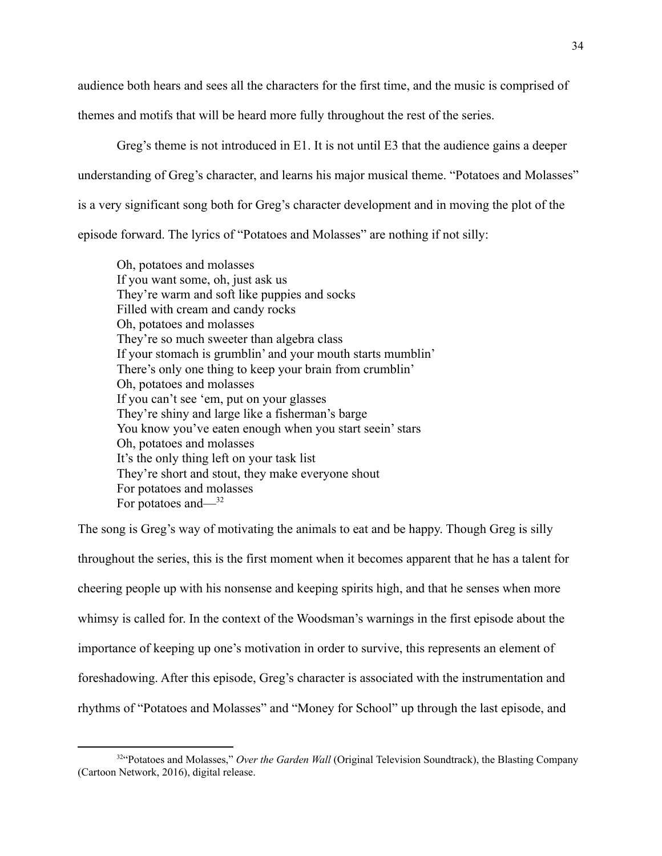audience both hears and sees all the characters for the first time, and the music is comprised of

themes and motifs that will be heard more fully throughout the rest of the series.

Greg's theme is not introduced in E1. It is not until E3 that the audience gains a deeper understanding of Greg's character, and learns his major musical theme. "Potatoes and Molasses" is a very significant song both for Greg's character development and in moving the plot of the episode forward. The lyrics of "Potatoes and Molasses" are nothing if not silly:

Oh, potatoes and molasses If you want some, oh, just ask us They're warm and soft like puppies and socks Filled with cream and candy rocks Oh, potatoes and molasses They're so much sweeter than algebra class If your stomach is grumblin' and your mouth starts mumblin' There's only one thing to keep your brain from crumblin' Oh, potatoes and molasses If you can't see 'em, put on your glasses They're shiny and large like a fisherman's barge You know you've eaten enough when you start seein' stars Oh, potatoes and molasses It's the only thing left on your task list They're short and stout, they make everyone shout For potatoes and molasses For potatoes and—<sup>32</sup>

The song is Greg's way of motivating the animals to eat and be happy. Though Greg is silly throughout the series, this is the first moment when it becomes apparent that he has a talent for cheering people up with his nonsense and keeping spirits high, and that he senses when more whimsy is called for. In the context of the Woodsman's warnings in the first episode about the importance of keeping up one's motivation in order to survive, this represents an element of foreshadowing. After this episode, Greg's character is associated with the instrumentation and rhythms of "Potatoes and Molasses" and "Money for School" up through the last episode, and

<sup>32</sup>"Potatoes and Molasses," *Over the Garden Wall* (Original Television Soundtrack), the Blasting Company (Cartoon Network, 2016), digital release.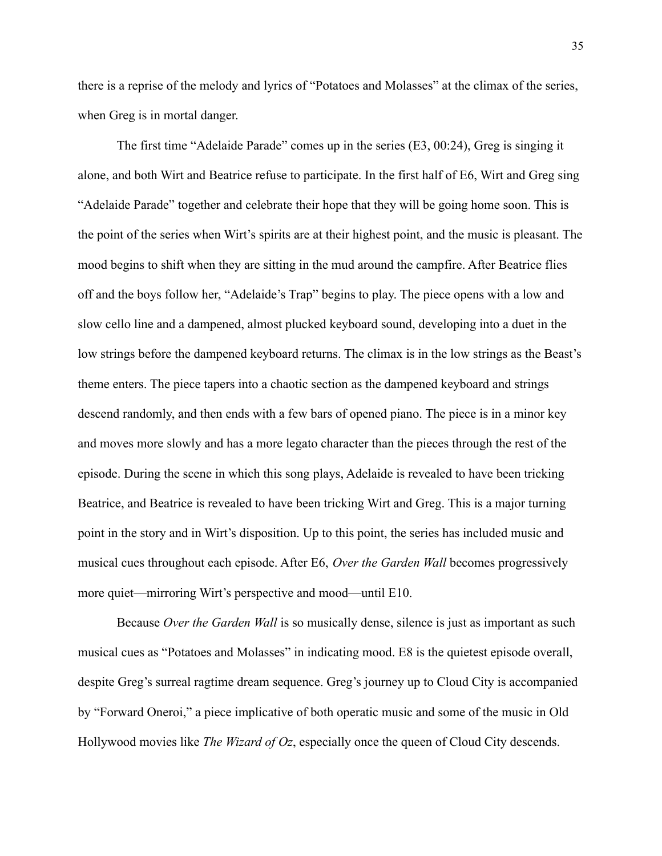there is a reprise of the melody and lyrics of "Potatoes and Molasses" at the climax of the series, when Greg is in mortal danger.

The first time "Adelaide Parade" comes up in the series (E3, 00:24), Greg is singing it alone, and both Wirt and Beatrice refuse to participate. In the first half of E6, Wirt and Greg sing "Adelaide Parade" together and celebrate their hope that they will be going home soon. This is the point of the series when Wirt's spirits are at their highest point, and the music is pleasant. The mood begins to shift when they are sitting in the mud around the campfire. After Beatrice flies off and the boys follow her, "Adelaide's Trap" begins to play. The piece opens with a low and slow cello line and a dampened, almost plucked keyboard sound, developing into a duet in the low strings before the dampened keyboard returns. The climax is in the low strings as the Beast's theme enters. The piece tapers into a chaotic section as the dampened keyboard and strings descend randomly, and then ends with a few bars of opened piano. The piece is in a minor key and moves more slowly and has a more legato character than the pieces through the rest of the episode. During the scene in which this song plays, Adelaide is revealed to have been tricking Beatrice, and Beatrice is revealed to have been tricking Wirt and Greg. This is a major turning point in the story and in Wirt's disposition. Up to this point, the series has included music and musical cues throughout each episode. After E6, *Over the Garden Wall* becomes progressively more quiet—mirroring Wirt's perspective and mood—until E10.

Because *Over the Garden Wall* is so musically dense, silence is just as important as such musical cues as "Potatoes and Molasses" in indicating mood. E8 is the quietest episode overall, despite Greg's surreal ragtime dream sequence. Greg's journey up to Cloud City is accompanied by "Forward Oneroi," a piece implicative of both operatic music and some of the music in Old Hollywood movies like *The Wizard of Oz*, especially once the queen of Cloud City descends.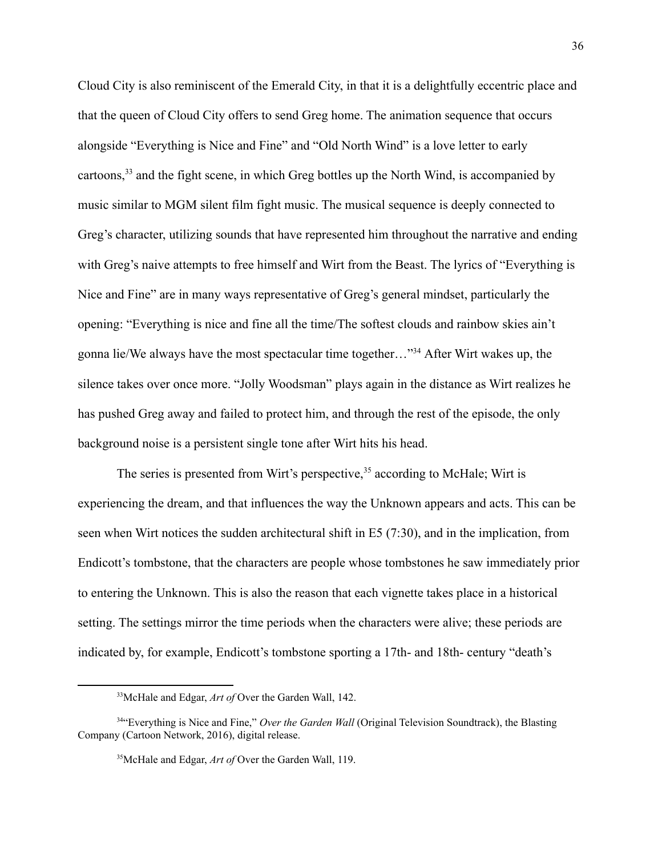Cloud City is also reminiscent of the Emerald City, in that it is a delightfully eccentric place and that the queen of Cloud City offers to send Greg home. The animation sequence that occurs alongside "Everything is Nice and Fine" and "Old North Wind" is a love letter to early cartoons,<sup>33</sup> and the fight scene, in which Greg bottles up the North Wind, is accompanied by music similar to MGM silent film fight music. The musical sequence is deeply connected to Greg's character, utilizing sounds that have represented him throughout the narrative and ending with Greg's naive attempts to free himself and Wirt from the Beast. The lyrics of "Everything is Nice and Fine" are in many ways representative of Greg's general mindset, particularly the opening: "Everything is nice and fine all the time/The softest clouds and rainbow skies ain't gonna lie/We always have the most spectacular time together…"<sup>34</sup> After Wirt wakes up, the silence takes over once more. "Jolly Woodsman" plays again in the distance as Wirt realizes he has pushed Greg away and failed to protect him, and through the rest of the episode, the only background noise is a persistent single tone after Wirt hits his head.

The series is presented from Wirt's perspective,  $3<sup>5</sup>$  according to McHale; Wirt is experiencing the dream, and that influences the way the Unknown appears and acts. This can be seen when Wirt notices the sudden architectural shift in E5 (7:30), and in the implication, from Endicott's tombstone, that the characters are people whose tombstones he saw immediately prior to entering the Unknown. This is also the reason that each vignette takes place in a historical setting. The settings mirror the time periods when the characters were alive; these periods are indicated by, for example, Endicott's tombstone sporting a 17th- and 18th- century "death's

<sup>33</sup>McHale and Edgar, *Art of* Over the Garden Wall, 142.

<sup>34</sup>"Everything is Nice and Fine," *Over the Garden Wall* (Original Television Soundtrack), the Blasting Company (Cartoon Network, 2016), digital release.

<sup>35</sup>McHale and Edgar, *Art of* Over the Garden Wall, 119.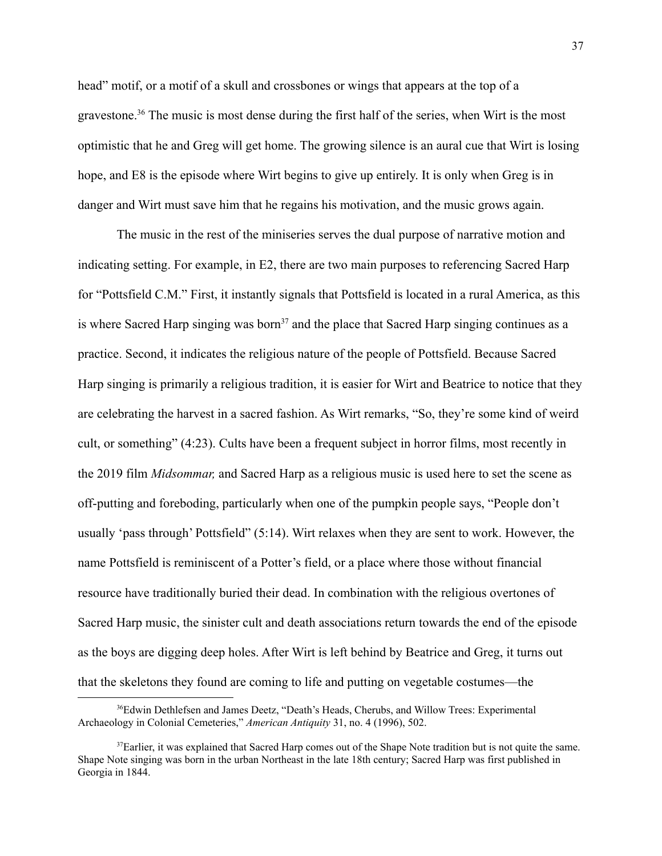head" motif, or a motif of a skull and crossbones or wings that appears at the top of a gravestone.<sup>36</sup> The music is most dense during the first half of the series, when Wirt is the most optimistic that he and Greg will get home. The growing silence is an aural cue that Wirt is losing hope, and E8 is the episode where Wirt begins to give up entirely. It is only when Greg is in danger and Wirt must save him that he regains his motivation, and the music grows again.

The music in the rest of the miniseries serves the dual purpose of narrative motion and indicating setting. For example, in E2, there are two main purposes to referencing Sacred Harp for "Pottsfield C.M." First, it instantly signals that Pottsfield is located in a rural America, as this is where Sacred Harp singing was born<sup>37</sup> and the place that Sacred Harp singing continues as a practice. Second, it indicates the religious nature of the people of Pottsfield. Because Sacred Harp singing is primarily a religious tradition, it is easier for Wirt and Beatrice to notice that they are celebrating the harvest in a sacred fashion. As Wirt remarks, "So, they're some kind of weird cult, or something" (4:23). Cults have been a frequent subject in horror films, most recently in the 2019 film *Midsommar,* and Sacred Harp as a religious music is used here to set the scene as off-putting and foreboding, particularly when one of the pumpkin people says, "People don't usually 'pass through' Pottsfield" (5:14). Wirt relaxes when they are sent to work. However, the name Pottsfield is reminiscent of a Potter's field, or a place where those without financial resource have traditionally buried their dead. In combination with the religious overtones of Sacred Harp music, the sinister cult and death associations return towards the end of the episode as the boys are digging deep holes. After Wirt is left behind by Beatrice and Greg, it turns out that the skeletons they found are coming to life and putting on vegetable costumes—the

<sup>&</sup>lt;sup>36</sup>Edwin Dethlefsen and James Deetz, "Death's Heads, Cherubs, and Willow Trees: Experimental Archaeology in Colonial Cemeteries," *American Antiquity* 31, no. 4 (1996), 502.

 $37$ Earlier, it was explained that Sacred Harp comes out of the Shape Note tradition but is not quite the same. Shape Note singing was born in the urban Northeast in the late 18th century; Sacred Harp was first published in Georgia in 1844.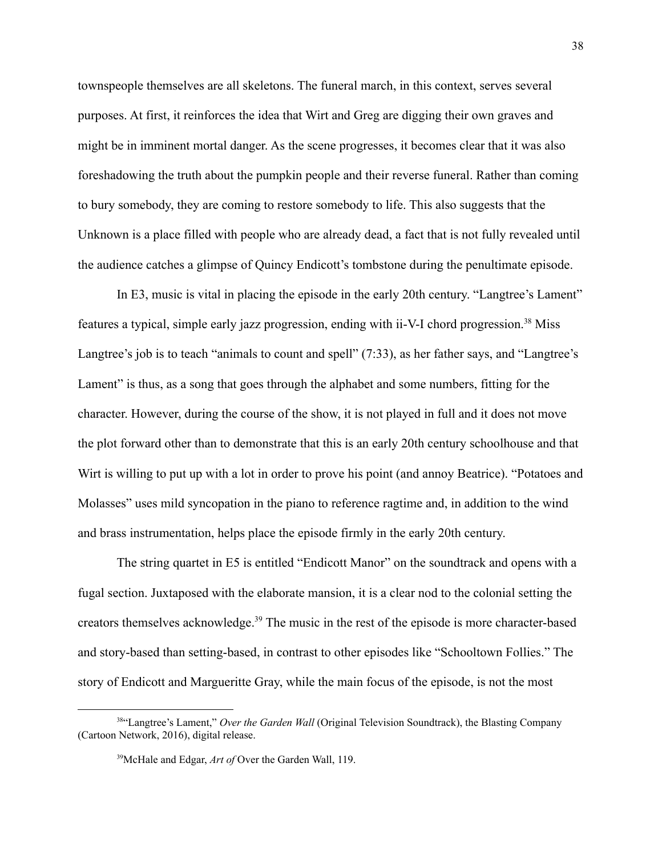townspeople themselves are all skeletons. The funeral march, in this context, serves several purposes. At first, it reinforces the idea that Wirt and Greg are digging their own graves and might be in imminent mortal danger. As the scene progresses, it becomes clear that it was also foreshadowing the truth about the pumpkin people and their reverse funeral. Rather than coming to bury somebody, they are coming to restore somebody to life. This also suggests that the Unknown is a place filled with people who are already dead, a fact that is not fully revealed until the audience catches a glimpse of Quincy Endicott's tombstone during the penultimate episode.

In E3, music is vital in placing the episode in the early 20th century. "Langtree's Lament" features a typical, simple early jazz progression, ending with ii-V-I chord progression.<sup>38</sup> Miss Langtree's job is to teach "animals to count and spell" (7:33), as her father says, and "Langtree's Lament" is thus, as a song that goes through the alphabet and some numbers, fitting for the character. However, during the course of the show, it is not played in full and it does not move the plot forward other than to demonstrate that this is an early 20th century schoolhouse and that Wirt is willing to put up with a lot in order to prove his point (and annoy Beatrice). "Potatoes and Molasses" uses mild syncopation in the piano to reference ragtime and, in addition to the wind and brass instrumentation, helps place the episode firmly in the early 20th century.

The string quartet in E5 is entitled "Endicott Manor" on the soundtrack and opens with a fugal section. Juxtaposed with the elaborate mansion, it is a clear nod to the colonial setting the creators themselves acknowledge.<sup>39</sup> The music in the rest of the episode is more character-based and story-based than setting-based, in contrast to other episodes like "Schooltown Follies." The story of Endicott and Margueritte Gray, while the main focus of the episode, is not the most

<sup>38</sup>"Langtree's Lament," *Over the Garden Wall* (Original Television Soundtrack), the Blasting Company (Cartoon Network, 2016), digital release.

<sup>39</sup>McHale and Edgar, *Art of* Over the Garden Wall, 119.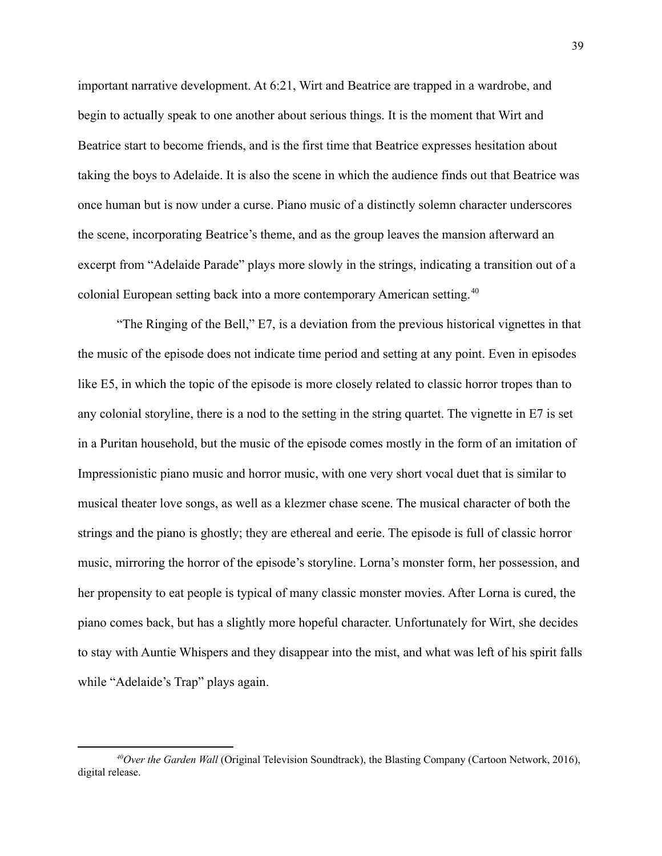important narrative development. At 6:21, Wirt and Beatrice are trapped in a wardrobe, and begin to actually speak to one another about serious things. It is the moment that Wirt and Beatrice start to become friends, and is the first time that Beatrice expresses hesitation about taking the boys to Adelaide. It is also the scene in which the audience finds out that Beatrice was once human but is now under a curse. Piano music of a distinctly solemn character underscores the scene, incorporating Beatrice's theme, and as the group leaves the mansion afterward an excerpt from "Adelaide Parade" plays more slowly in the strings, indicating a transition out of a colonial European setting back into a more contemporary American setting.<sup>40</sup>

"The Ringing of the Bell," E7, is a deviation from the previous historical vignettes in that the music of the episode does not indicate time period and setting at any point. Even in episodes like E5, in which the topic of the episode is more closely related to classic horror tropes than to any colonial storyline, there is a nod to the setting in the string quartet. The vignette in E7 is set in a Puritan household, but the music of the episode comes mostly in the form of an imitation of Impressionistic piano music and horror music, with one very short vocal duet that is similar to musical theater love songs, as well as a klezmer chase scene. The musical character of both the strings and the piano is ghostly; they are ethereal and eerie. The episode is full of classic horror music, mirroring the horror of the episode's storyline. Lorna's monster form, her possession, and her propensity to eat people is typical of many classic monster movies. After Lorna is cured, the piano comes back, but has a slightly more hopeful character. Unfortunately for Wirt, she decides to stay with Auntie Whispers and they disappear into the mist, and what was left of his spirit falls while "Adelaide's Trap" plays again.

*<sup>40</sup>Over the Garden Wall* (Original Television Soundtrack), the Blasting Company (Cartoon Network, 2016), digital release.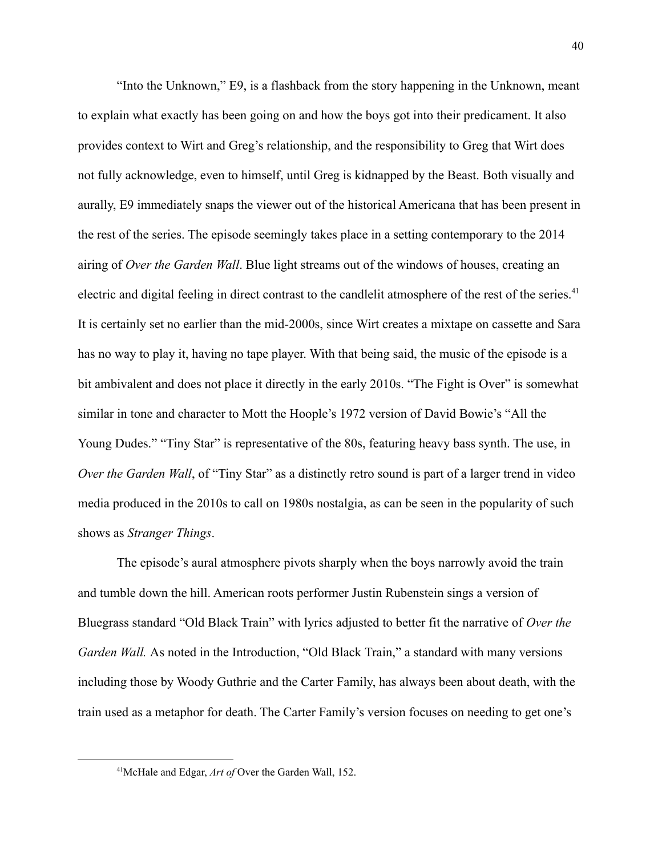"Into the Unknown," E9, is a flashback from the story happening in the Unknown, meant to explain what exactly has been going on and how the boys got into their predicament. It also provides context to Wirt and Greg's relationship, and the responsibility to Greg that Wirt does not fully acknowledge, even to himself, until Greg is kidnapped by the Beast. Both visually and aurally, E9 immediately snaps the viewer out of the historical Americana that has been present in the rest of the series. The episode seemingly takes place in a setting contemporary to the 2014 airing of *Over the Garden Wall*. Blue light streams out of the windows of houses, creating an electric and digital feeling in direct contrast to the candlelit atmosphere of the rest of the series.<sup>41</sup> It is certainly set no earlier than the mid-2000s, since Wirt creates a mixtape on cassette and Sara has no way to play it, having no tape player. With that being said, the music of the episode is a bit ambivalent and does not place it directly in the early 2010s. "The Fight is Over" is somewhat similar in tone and character to Mott the Hoople's 1972 version of David Bowie's "All the Young Dudes." "Tiny Star" is representative of the 80s, featuring heavy bass synth. The use, in *Over the Garden Wall*, of "Tiny Star" as a distinctly retro sound is part of a larger trend in video media produced in the 2010s to call on 1980s nostalgia, as can be seen in the popularity of such shows as *Stranger Things*.

The episode's aural atmosphere pivots sharply when the boys narrowly avoid the train and tumble down the hill. American roots performer Justin Rubenstein sings a version of Bluegrass standard "Old Black Train" with lyrics adjusted to better fit the narrative of *Over the Garden Wall.* As noted in the Introduction, "Old Black Train," a standard with many versions including those by Woody Guthrie and the Carter Family, has always been about death, with the train used as a metaphor for death. The Carter Family's version focuses on needing to get one's

<sup>41</sup>McHale and Edgar, *Art of* Over the Garden Wall, 152.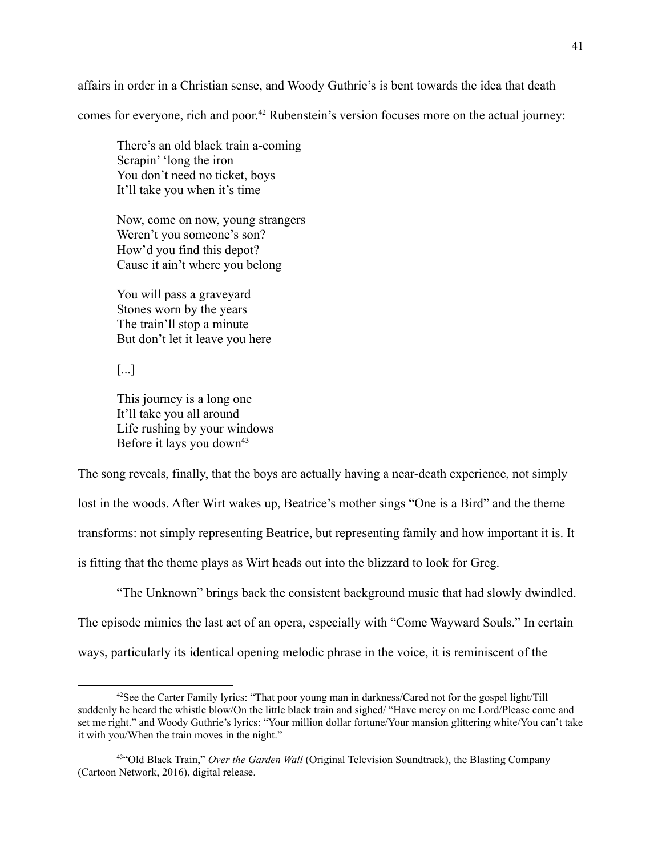affairs in order in a Christian sense, and Woody Guthrie's is bent towards the idea that death

comes for everyone, rich and poor. <sup>42</sup> Rubenstein's version focuses more on the actual journey:

There's an old black train a-coming Scrapin' 'long the iron You don't need no ticket, boys It'll take you when it's time

Now, come on now, young strangers Weren't you someone's son? How'd you find this depot? Cause it ain't where you belong

You will pass a graveyard Stones worn by the years The train'll stop a minute But don't let it leave you here

[...]

This journey is a long one It'll take you all around Life rushing by your windows Before it lays you down<sup>43</sup>

The song reveals, finally, that the boys are actually having a near-death experience, not simply lost in the woods. After Wirt wakes up, Beatrice's mother sings "One is a Bird" and the theme transforms: not simply representing Beatrice, but representing family and how important it is. It is fitting that the theme plays as Wirt heads out into the blizzard to look for Greg.

"The Unknown" brings back the consistent background music that had slowly dwindled. The episode mimics the last act of an opera, especially with "Come Wayward Souls." In certain ways, particularly its identical opening melodic phrase in the voice, it is reminiscent of the

<sup>&</sup>lt;sup>42</sup>See the Carter Family lyrics: "That poor young man in darkness/Cared not for the gospel light/Till suddenly he heard the whistle blow/On the little black train and sighed/ "Have mercy on me Lord/Please come and set me right." and Woody Guthrie's lyrics: "Your million dollar fortune/Your mansion glittering white/You can't take it with you/When the train moves in the night."

<sup>43</sup>"Old Black Train," *Over the Garden Wall* (Original Television Soundtrack), the Blasting Company (Cartoon Network, 2016), digital release.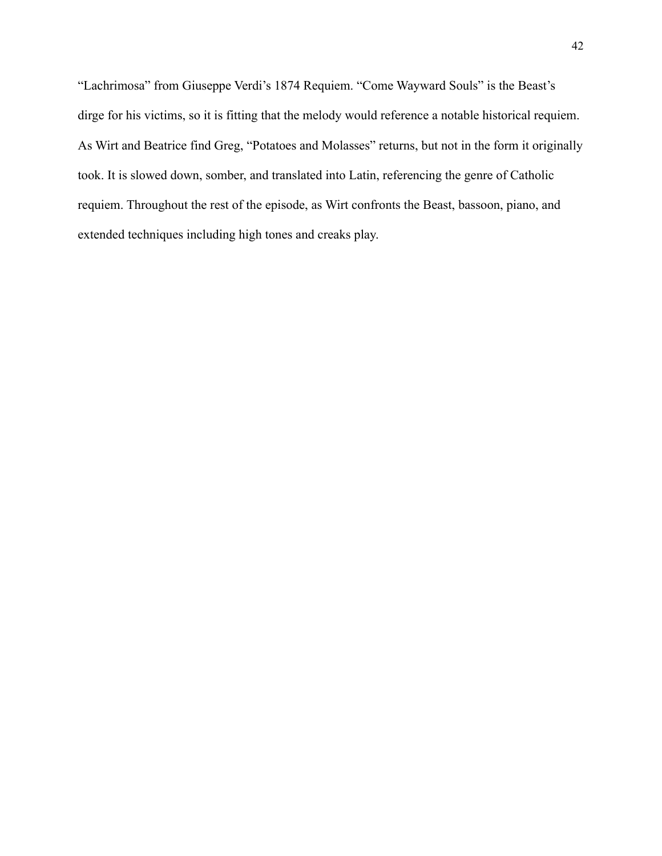"Lachrimosa" from Giuseppe Verdi's 1874 Requiem. "Come Wayward Souls" is the Beast's dirge for his victims, so it is fitting that the melody would reference a notable historical requiem. As Wirt and Beatrice find Greg, "Potatoes and Molasses" returns, but not in the form it originally took. It is slowed down, somber, and translated into Latin, referencing the genre of Catholic requiem. Throughout the rest of the episode, as Wirt confronts the Beast, bassoon, piano, and extended techniques including high tones and creaks play.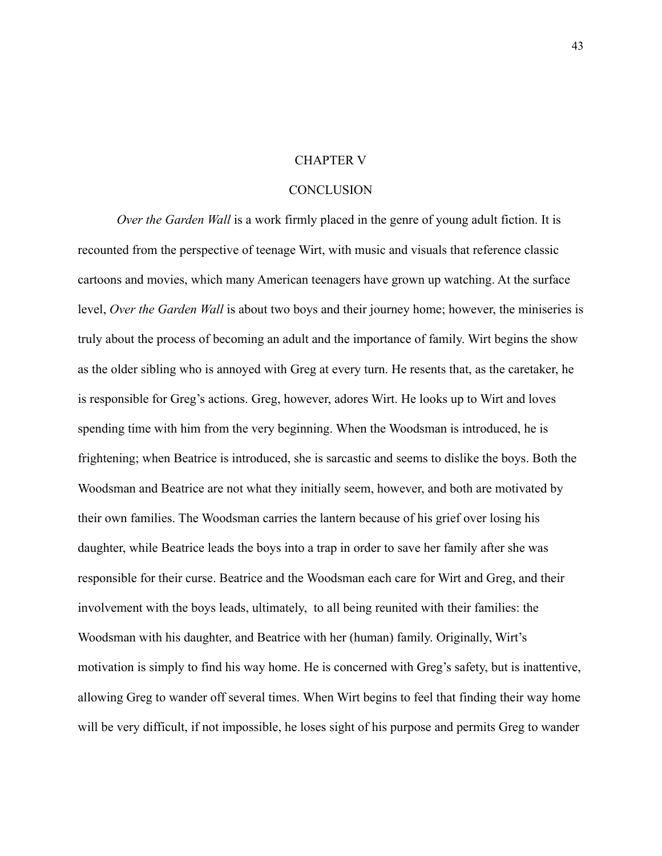## CHAPTER V

#### **CONCLUSION**

*Over the Garden Wall* is a work firmly placed in the genre of young adult fiction. It is recounted from the perspective of teenage Wirt, with music and visuals that reference classic cartoons and movies, which many American teenagers have grown up watching. At the surface level, *Over the Garden Wall* is about two boys and their journey home; however, the miniseries is truly about the process of becoming an adult and the importance of family. Wirt begins the show as the older sibling who is annoyed with Greg at every turn. He resents that, as the caretaker, he is responsible for Greg's actions. Greg, however, adores Wirt. He looks up to Wirt and loves spending time with him from the very beginning. When the Woodsman is introduced, he is frightening; when Beatrice is introduced, she is sarcastic and seems to dislike the boys. Both the Woodsman and Beatrice are not what they initially seem, however, and both are motivated by their own families. The Woodsman carries the lantern because of his grief over losing his daughter, while Beatrice leads the boys into a trap in order to save her family after she was responsible for their curse. Beatrice and the Woodsman each care for Wirt and Greg, and their involvement with the boys leads, ultimately, to all being reunited with their families: the Woodsman with his daughter, and Beatrice with her (human) family. Originally, Wirt's motivation is simply to find his way home. He is concerned with Greg's safety, but is inattentive, allowing Greg to wander off several times. When Wirt begins to feel that finding their way home will be very difficult, if not impossible, he loses sight of his purpose and permits Greg to wander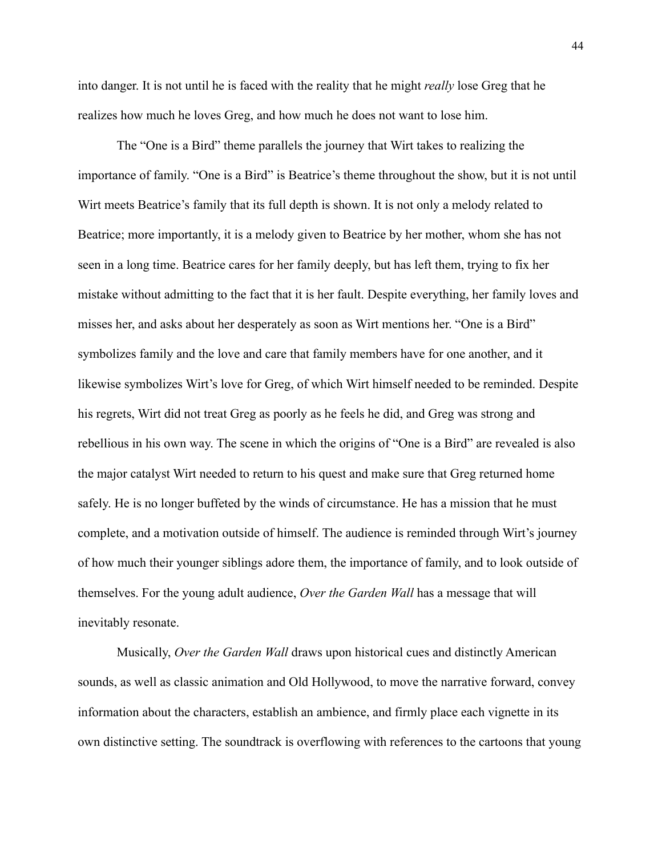into danger. It is not until he is faced with the reality that he might *really* lose Greg that he realizes how much he loves Greg, and how much he does not want to lose him.

The "One is a Bird" theme parallels the journey that Wirt takes to realizing the importance of family. "One is a Bird" is Beatrice's theme throughout the show, but it is not until Wirt meets Beatrice's family that its full depth is shown. It is not only a melody related to Beatrice; more importantly, it is a melody given to Beatrice by her mother, whom she has not seen in a long time. Beatrice cares for her family deeply, but has left them, trying to fix her mistake without admitting to the fact that it is her fault. Despite everything, her family loves and misses her, and asks about her desperately as soon as Wirt mentions her. "One is a Bird" symbolizes family and the love and care that family members have for one another, and it likewise symbolizes Wirt's love for Greg, of which Wirt himself needed to be reminded. Despite his regrets, Wirt did not treat Greg as poorly as he feels he did, and Greg was strong and rebellious in his own way. The scene in which the origins of "One is a Bird" are revealed is also the major catalyst Wirt needed to return to his quest and make sure that Greg returned home safely. He is no longer buffeted by the winds of circumstance. He has a mission that he must complete, and a motivation outside of himself. The audience is reminded through Wirt's journey of how much their younger siblings adore them, the importance of family, and to look outside of themselves. For the young adult audience, *Over the Garden Wall* has a message that will inevitably resonate.

Musically, *Over the Garden Wall* draws upon historical cues and distinctly American sounds, as well as classic animation and Old Hollywood, to move the narrative forward, convey information about the characters, establish an ambience, and firmly place each vignette in its own distinctive setting. The soundtrack is overflowing with references to the cartoons that young

44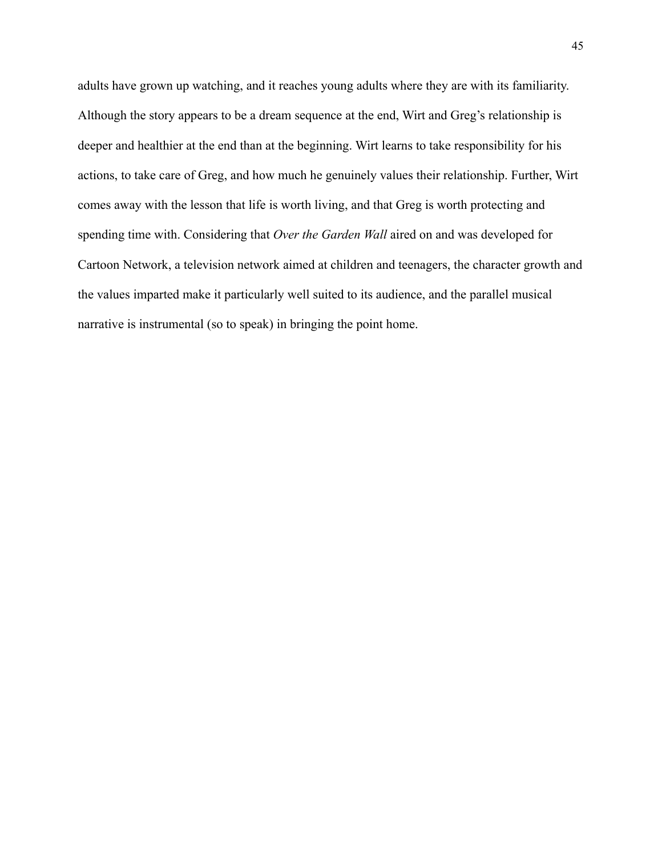adults have grown up watching, and it reaches young adults where they are with its familiarity. Although the story appears to be a dream sequence at the end, Wirt and Greg's relationship is deeper and healthier at the end than at the beginning. Wirt learns to take responsibility for his actions, to take care of Greg, and how much he genuinely values their relationship. Further, Wirt comes away with the lesson that life is worth living, and that Greg is worth protecting and spending time with. Considering that *Over the Garden Wall* aired on and was developed for Cartoon Network, a television network aimed at children and teenagers, the character growth and the values imparted make it particularly well suited to its audience, and the parallel musical narrative is instrumental (so to speak) in bringing the point home.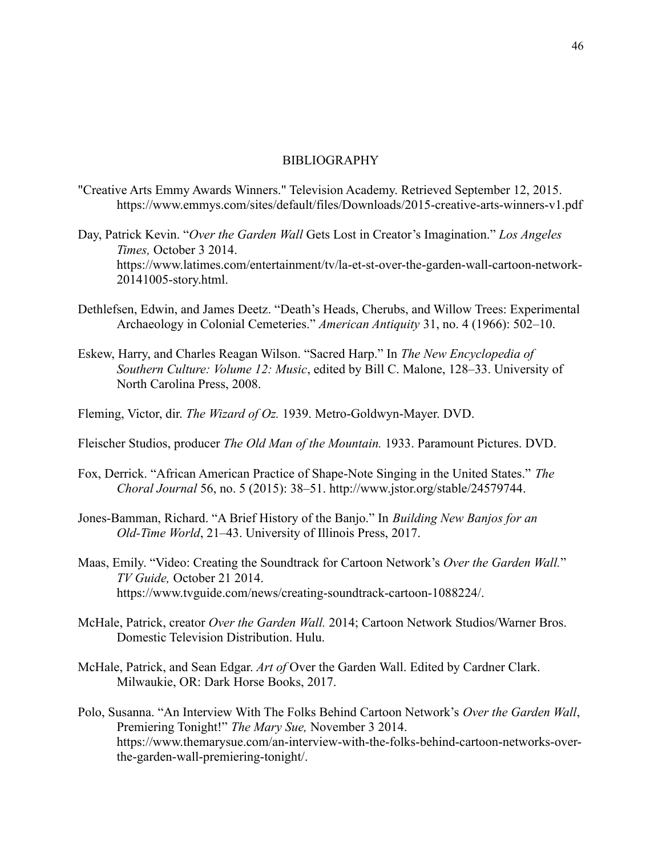## BIBLIOGRAPHY

- "Creative Arts Emmy Awards Winners." Television Academy. Retrieved September 12, 2015. https://www.emmys.com/sites/default/files/Downloads/2015-creative-arts-winners-v1.pdf
- Day, Patrick Kevin. "*Over the Garden Wall* Gets Lost in Creator's Imagination." *Los Angeles Times,* October 3 2014. https://www.latimes.com/entertainment/tv/la-et-st-over-the-garden-wall-cartoon-network-20141005-story.html.
- Dethlefsen, Edwin, and James Deetz. "Death's Heads, Cherubs, and Willow Trees: Experimental Archaeology in Colonial Cemeteries." *American Antiquity* 31, no. 4 (1966): 502–10.
- Eskew, Harry, and Charles Reagan Wilson. "Sacred Harp." In *The New Encyclopedia of Southern Culture: Volume 12: Music*, edited by Bill C. Malone, 128–33. University of North Carolina Press, 2008.
- Fleming, Victor, dir. *The Wizard of Oz.* 1939. Metro-Goldwyn-Mayer. DVD.
- Fleischer Studios, producer *The Old Man of the Mountain.* 1933. Paramount Pictures. DVD.
- Fox, Derrick. "African American Practice of Shape-Note Singing in the United States." *The Choral Journal* 56, no. 5 (2015): 38–51. http://www.jstor.org/stable/24579744.
- Jones-Bamman, Richard. "A Brief History of the Banjo." In *Building New Banjos for an Old-Time World*, 21–43. University of Illinois Press, 2017.
- Maas, Emily. "Video: Creating the Soundtrack for Cartoon Network's *Over the Garden Wall.*" *TV Guide,* October 21 2014. https://www.tvguide.com/news/creating-soundtrack-cartoon-1088224/.
- McHale, Patrick, creator *Over the Garden Wall.* 2014; Cartoon Network Studios/Warner Bros. Domestic Television Distribution. Hulu.
- McHale, Patrick, and Sean Edgar. *Art of* Over the Garden Wall. Edited by Cardner Clark. Milwaukie, OR: Dark Horse Books, 2017.
- Polo, Susanna. "An Interview With The Folks Behind Cartoon Network's *Over the Garden Wall*, Premiering Tonight!" *The Mary Sue,* November 3 2014. https://www.themarysue.com/an-interview-with-the-folks-behind-cartoon-networks-overthe-garden-wall-premiering-tonight/.